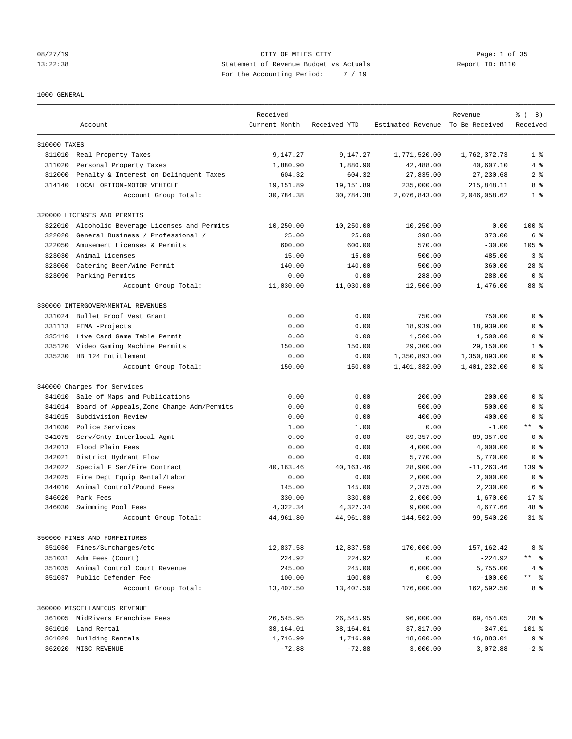### 08/27/19 CITY OF MILES CITY Page: 1 of 35 13:22:38 Statement of Revenue Budget vs Actuals Report ID: B110 For the Accounting Period: 7 / 19

### 1000 GENERAL

|              |                                           | Received      |              | Estimated Revenue To Be Received | Revenue       | $\frac{6}{6}$ ( 8)<br>Received |
|--------------|-------------------------------------------|---------------|--------------|----------------------------------|---------------|--------------------------------|
|              | Account                                   | Current Month | Received YTD |                                  |               |                                |
| 310000 TAXES |                                           |               |              |                                  |               |                                |
| 311010       | Real Property Taxes                       | 9,147.27      | 9,147.27     | 1,771,520.00                     | 1,762,372.73  | 1 <sup>8</sup>                 |
| 311020       | Personal Property Taxes                   | 1,880.90      | 1,880.90     | 42,488.00                        | 40,607.10     | 4%                             |
| 312000       | Penalty & Interest on Delinquent Taxes    | 604.32        | 604.32       | 27,835.00                        | 27,230.68     | 2 <sub>8</sub>                 |
| 314140       | LOCAL OPTION-MOTOR VEHICLE                | 19,151.89     | 19,151.89    | 235,000.00                       | 215,848.11    | 8 %                            |
|              | Account Group Total:                      | 30,784.38     | 30,784.38    | 2,076,843.00                     | 2,046,058.62  | 1 <sup>8</sup>                 |
|              | 320000 LICENSES AND PERMITS               |               |              |                                  |               |                                |
| 322010       | Alcoholic Beverage Licenses and Permits   | 10,250.00     | 10,250.00    | 10,250.00                        | 0.00          | $100$ %                        |
| 322020       | General Business / Professional /         | 25.00         | 25.00        | 398.00                           | 373.00        | 6 %                            |
| 322050       | Amusement Licenses & Permits              | 600.00        | 600.00       | 570.00                           | $-30.00$      | $105$ %                        |
| 323030       | Animal Licenses                           | 15.00         | 15.00        | 500.00                           | 485.00        | 3%                             |
| 323060       | Catering Beer/Wine Permit                 | 140.00        | 140.00       | 500.00                           | 360.00        | $28$ %                         |
| 323090       | Parking Permits                           | 0.00          | 0.00         | 288.00                           | 288.00        | 0 <sup>8</sup>                 |
|              | Account Group Total:                      | 11,030.00     | 11,030.00    | 12,506.00                        | 1,476.00      | 88 %                           |
|              | 330000 INTERGOVERNMENTAL REVENUES         |               |              |                                  |               |                                |
| 331024       | Bullet Proof Vest Grant                   | 0.00          | 0.00         | 750.00                           | 750.00        | 0 <sup>8</sup>                 |
| 331113       | FEMA -Projects                            | 0.00          | 0.00         | 18,939.00                        | 18,939.00     | 0 <sup>8</sup>                 |
| 335110       | Live Card Game Table Permit               | 0.00          | 0.00         | 1,500.00                         | 1,500.00      | 0 <sup>8</sup>                 |
| 335120       | Video Gaming Machine Permits              | 150.00        | 150.00       | 29,300.00                        | 29,150.00     | 1 <sup>8</sup>                 |
| 335230       | HB 124 Entitlement                        | 0.00          | 0.00         | 1,350,893.00                     | 1,350,893.00  | 0 <sup>8</sup>                 |
|              | Account Group Total:                      | 150.00        | 150.00       | 1,401,382.00                     | 1,401,232.00  | 0 <sup>8</sup>                 |
|              | 340000 Charges for Services               |               |              |                                  |               |                                |
| 341010       | Sale of Maps and Publications             | 0.00          | 0.00         | 200.00                           | 200.00        | 0 <sup>8</sup>                 |
| 341014       | Board of Appeals, Zone Change Adm/Permits | 0.00          | 0.00         | 500.00                           | 500.00        | 0 <sup>8</sup>                 |
| 341015       | Subdivision Review                        | 0.00          | 0.00         | 400.00                           | 400.00        | 0 <sup>8</sup>                 |
| 341030       | Police Services                           | 1.00          | 1.00         | 0.00                             | $-1.00$       | $\star$ $\star$<br>- 응         |
| 341075       | Serv/Cnty-Interlocal Agmt                 | 0.00          | 0.00         | 89, 357.00                       | 89, 357.00    | 0 <sup>8</sup>                 |
| 342013       | Flood Plain Fees                          | 0.00          | 0.00         | 4,000.00                         | 4,000.00      | 0 %                            |
| 342021       | District Hydrant Flow                     | 0.00          | 0.00         | 5,770.00                         | 5,770.00      | 0 %                            |
| 342022       | Special F Ser/Fire Contract               | 40,163.46     | 40,163.46    | 28,900.00                        | $-11, 263.46$ | 139 <sub>8</sub>               |
| 342025       | Fire Dept Equip Rental/Labor              | 0.00          | 0.00         | 2,000.00                         | 2,000.00      | 0 <sup>8</sup>                 |
| 344010       | Animal Control/Pound Fees                 | 145.00        | 145.00       | 2,375.00                         | 2,230.00      | 6 %                            |
| 346020       | Park Fees                                 | 330.00        | 330.00       | 2,000.00                         | 1,670.00      | $17*$                          |
| 346030       | Swimming Pool Fees                        | 4,322.34      | 4,322.34     | 9,000.00                         | 4,677.66      | 48 %                           |
|              | Account Group Total:                      | 44,961.80     | 44,961.80    | 144,502.00                       | 99,540.20     | $31*$                          |
|              | 350000 FINES AND FORFEITURES              |               |              |                                  |               |                                |
|              | 351030 Fines/Surcharges/etc               | 12,837.58     | 12,837.58    | 170,000.00                       | 157, 162.42   | 8 %                            |
|              | 351031 Adm Fees (Court)                   | 224.92        | 224.92       | 0.00                             | $-224.92$     | $\star$ $\star$<br>ి           |
| 351035       | Animal Control Court Revenue              | 245.00        | 245.00       | 6,000.00                         | 5,755.00      | $4\degree$                     |
|              | 351037 Public Defender Fee                | 100.00        | 100.00       | 0.00                             | $-100.00$     | $***$ $ -$                     |
|              | Account Group Total:                      | 13,407.50     | 13,407.50    | 176,000.00                       | 162,592.50    | 8 %                            |
|              | 360000 MISCELLANEOUS REVENUE              |               |              |                                  |               |                                |
|              | 361005 MidRivers Franchise Fees           | 26,545.95     | 26,545.95    | 96,000.00                        | 69, 454.05    | $28$ %                         |
| 361010       | Land Rental                               | 38,164.01     | 38,164.01    | 37,817.00                        | $-347.01$     | $101$ %                        |
| 361020       | Building Rentals                          | 1,716.99      | 1,716.99     | 18,600.00                        | 16,883.01     | 9%                             |
| 362020       | MISC REVENUE                              | $-72.88$      | $-72.88$     | 3,000.00                         | 3,072.88      | $-2$ %                         |
|              |                                           |               |              |                                  |               |                                |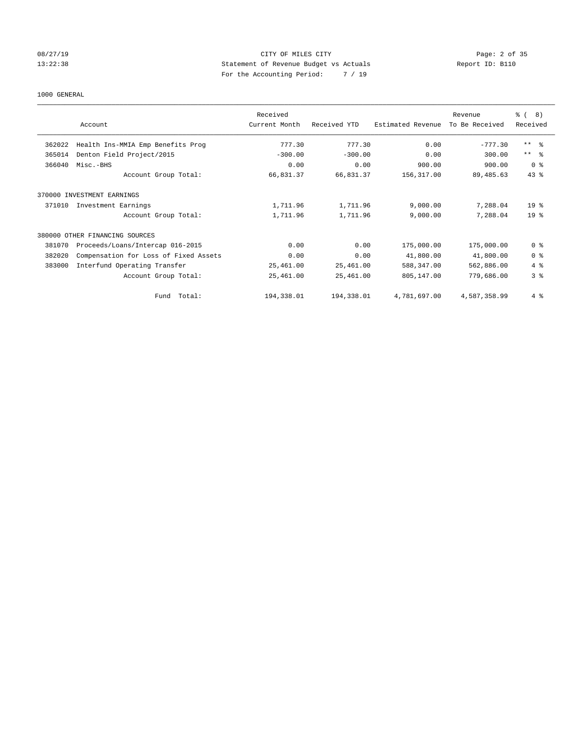# 08/27/19 CITY OF MILES CITY Page: 2 of 35 13:22:38 Statement of Revenue Budget vs Actuals Report ID: B110 For the Accounting Period: 7 / 19

### 1000 GENERAL

|        |                                       | Received      |              |                   | Revenue        | ී (<br>8)       |
|--------|---------------------------------------|---------------|--------------|-------------------|----------------|-----------------|
|        | Account                               | Current Month | Received YTD | Estimated Revenue | To Be Received | Received        |
| 362022 | Health Ins-MMIA Emp Benefits Prog     | 777.30        | 777.30       | 0.00              | $-777.30$      | $***$ $\approx$ |
| 365014 | Denton Field Project/2015             | $-300.00$     | $-300.00$    | 0.00              | 300.00         | $***$ $ -$      |
| 366040 | Misc.-BHS                             | 0.00          | 0.00         | 900.00            | 900.00         | 0 <sup>8</sup>  |
|        | Account Group Total:                  | 66,831.37     | 66,831.37    | 156,317.00        | 89,485.63      | $43$ %          |
|        | 370000 INVESTMENT EARNINGS            |               |              |                   |                |                 |
| 371010 | Investment Earnings                   | 1,711.96      | 1,711.96     | 9,000.00          | 7,288.04       | 19 <sup>°</sup> |
|        | Account Group Total:                  | 1,711.96      | 1,711.96     | 9,000.00          | 7,288.04       | 19 <sup>°</sup> |
|        | 380000 OTHER FINANCING SOURCES        |               |              |                   |                |                 |
| 381070 | Proceeds/Loans/Intercap 016-2015      | 0.00          | 0.00         | 175,000.00        | 175,000.00     | 0 <sup>8</sup>  |
| 382020 | Compensation for Loss of Fixed Assets | 0.00          | 0.00         | 41,800.00         | 41,800.00      | 0 <sup>8</sup>  |
| 383000 | Interfund Operating Transfer          | 25,461.00     | 25,461.00    | 588,347.00        | 562,886.00     | $4\degree$      |
|        | Account Group Total:                  | 25,461.00     | 25,461.00    | 805,147.00        | 779,686.00     | 3 <sup>8</sup>  |
|        | Fund Total:                           | 194,338.01    | 194,338.01   | 4,781,697.00      | 4,587,358.99   | 4%              |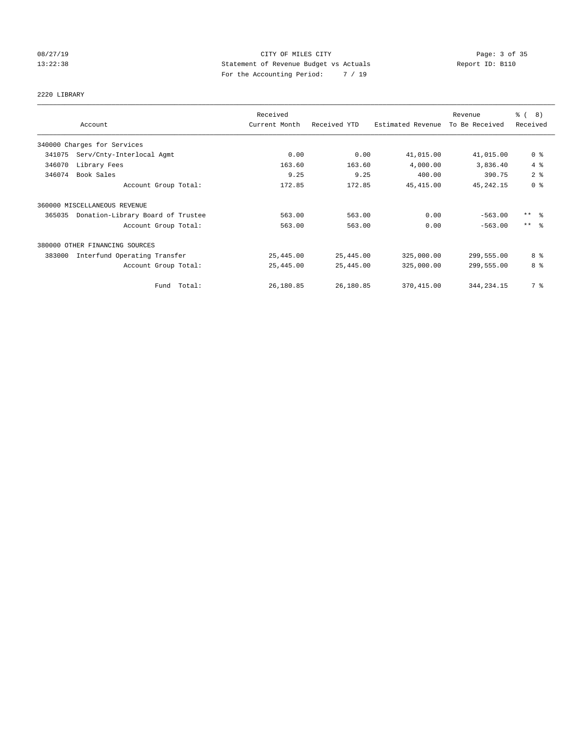# 08/27/19 CITY OF MILES CITY Page: 3 of 35 13:22:38 Statement of Revenue Budget vs Actuals Report ID: B110 For the Accounting Period: 7 / 19

### 2220 LIBRARY

|                                             | Received      |              |                   | Revenue        | $\frac{6}{6}$ (<br>$\left(8\right)$ |
|---------------------------------------------|---------------|--------------|-------------------|----------------|-------------------------------------|
| Account                                     | Current Month | Received YTD | Estimated Revenue | To Be Received | Received                            |
| 340000 Charges for Services                 |               |              |                   |                |                                     |
| Serv/Cnty-Interlocal Agmt<br>341075         | 0.00          | 0.00         | 41,015.00         | 41,015.00      | 0 <sup>8</sup>                      |
| 346070<br>Library Fees                      | 163.60        | 163.60       | 4,000.00          | 3,836.40       | 4%                                  |
| Book Sales<br>346074                        | 9.25          | 9.25         | 400.00            | 390.75         | 2 <sup>8</sup>                      |
| Account Group Total:                        | 172.85        | 172.85       | 45, 415.00        | 45, 242. 15    | 0 <sup>8</sup>                      |
| 360000 MISCELLANEOUS REVENUE                |               |              |                   |                |                                     |
| Donation-Library Board of Trustee<br>365035 | 563.00        | 563.00       | 0.00              | $-563.00$      | $***$ $\frac{6}{5}$                 |
| Account Group Total:                        | 563.00        | 563.00       | 0.00              | $-563.00$      | $***$ $\approx$                     |
| 380000 OTHER FINANCING SOURCES              |               |              |                   |                |                                     |
| Interfund Operating Transfer<br>383000      | 25,445.00     | 25,445.00    | 325,000.00        | 299,555.00     | 8 %                                 |
| Account Group Total:                        | 25,445.00     | 25,445.00    | 325,000.00        | 299,555.00     | 8 %                                 |
| Fund Total:                                 | 26,180.85     | 26,180.85    | 370,415.00        | 344, 234. 15   | 7 %                                 |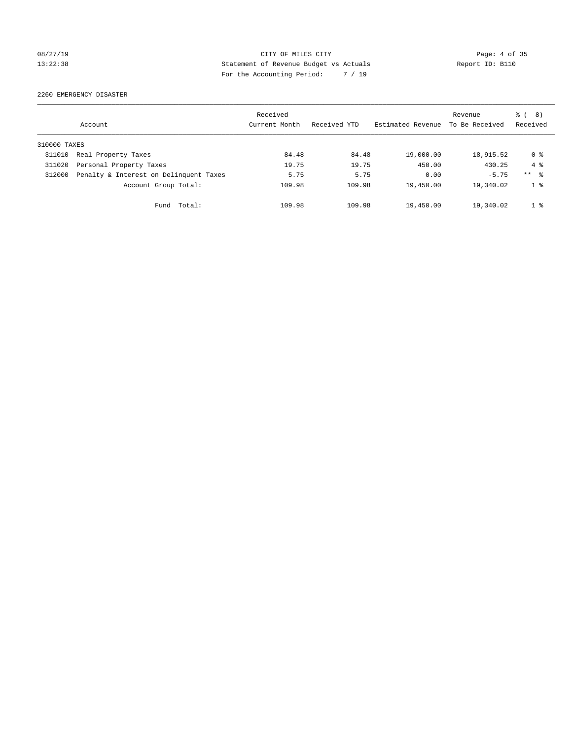# 08/27/19 CITY OF MILES CITY Page: 4 of 35 13:22:38 Statement of Revenue Budget vs Actuals Report ID: B110 For the Accounting Period: 7 / 19

2260 EMERGENCY DISASTER

|              | Account                                | Received<br>Current Month | Received YTD | Estimated Revenue | Revenue<br>To Be Received | $\frac{6}{6}$ ( 8)<br>Received |
|--------------|----------------------------------------|---------------------------|--------------|-------------------|---------------------------|--------------------------------|
| 310000 TAXES |                                        |                           |              |                   |                           |                                |
| 311010       | Real Property Taxes                    | 84.48                     | 84.48        | 19,000.00         | 18,915.52                 | 0 %                            |
| 311020       | Personal Property Taxes                | 19.75                     | 19.75        | 450.00            | 430.25                    | $4 \text{ }$                   |
| 312000       | Penalty & Interest on Delinquent Taxes | 5.75                      | 5.75         | 0.00              | $-5.75$                   | $***$ $\approx$                |
|              | Account Group Total:                   | 109.98                    | 109.98       | 19,450.00         | 19,340.02                 | 1 %                            |
|              | Fund Total:                            | 109.98                    | 109.98       | 19,450.00         | 19,340.02                 | 1 <sup>8</sup>                 |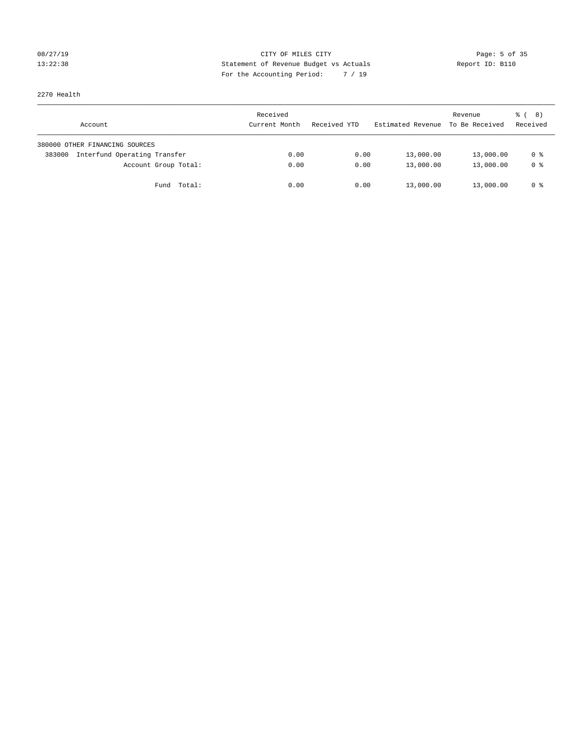# 08/27/19 CITY OF MILES CITY Page: 5 of 35 13:22:38 Statement of Revenue Budget vs Actuals Report ID: B110 For the Accounting Period: 7 / 19

2270 Health

| Account                                | Received<br>Current Month | Received YTD | Estimated Revenue | Revenue<br>To Be Received | <sub>ර</sub> ි ( 8 )<br>Received |
|----------------------------------------|---------------------------|--------------|-------------------|---------------------------|----------------------------------|
| 380000 OTHER FINANCING SOURCES         |                           |              |                   |                           |                                  |
| Interfund Operating Transfer<br>383000 | 0.00                      | 0.00         | 13,000.00         | 13,000.00                 | 0 %                              |
| Account Group Total:                   | 0.00                      | 0.00         | 13,000.00         | 13,000.00                 | 0 %                              |
| Fund Total:                            | 0.00                      | 0.00         | 13,000.00         | 13,000.00                 | 0 %                              |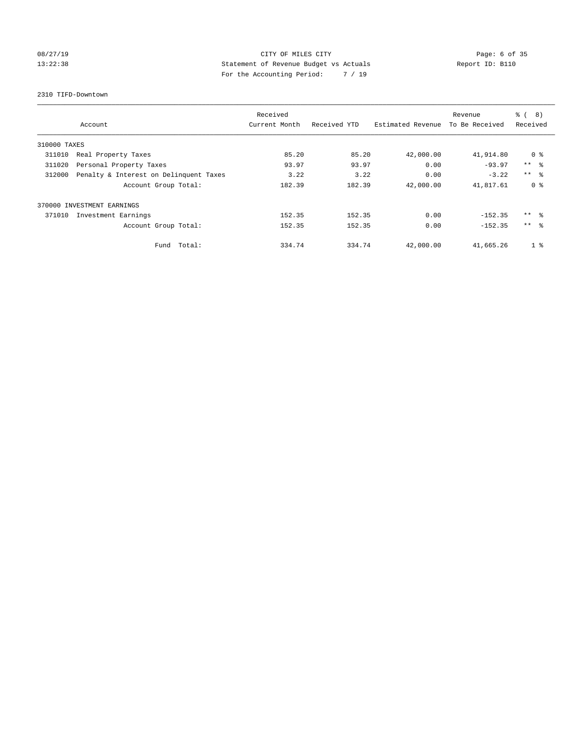# 08/27/19 CITY OF MILES CITY Page: 6 of 35 13:22:38 Statement of Revenue Budget vs Actuals Report ID: B110 For the Accounting Period: 7 / 19

2310 TIFD-Downtown

|              |                                        | Received      |              |                   | Revenue        | $\approx$ (<br>8) |
|--------------|----------------------------------------|---------------|--------------|-------------------|----------------|-------------------|
|              | Account                                | Current Month | Received YTD | Estimated Revenue | To Be Received | Received          |
| 310000 TAXES |                                        |               |              |                   |                |                   |
| 311010       | Real Property Taxes                    | 85.20         | 85.20        | 42,000.00         | 41,914.80      | 0 %               |
| 311020       | Personal Property Taxes                | 93.97         | 93.97        | 0.00              | $-93.97$       | $***$ $ -$        |
| 312000       | Penalty & Interest on Delinquent Taxes | 3.22          | 3.22         | 0.00              | $-3.22$        | $***$ $\approx$   |
|              | Account Group Total:                   | 182.39        | 182.39       | 42,000.00         | 41,817.61      | 0 <sup>8</sup>    |
|              | 370000 INVESTMENT EARNINGS             |               |              |                   |                |                   |
| 371010       | Investment Earnings                    | 152.35        | 152.35       | 0.00              | $-152.35$      | $***$ $\approx$   |
|              | Account Group Total:                   | 152.35        | 152.35       | 0.00              | $-152.35$      | $***$ $\approx$   |
|              | Fund Total:                            | 334.74        | 334.74       | 42,000.00         | 41,665.26      | 1 <sup>°</sup>    |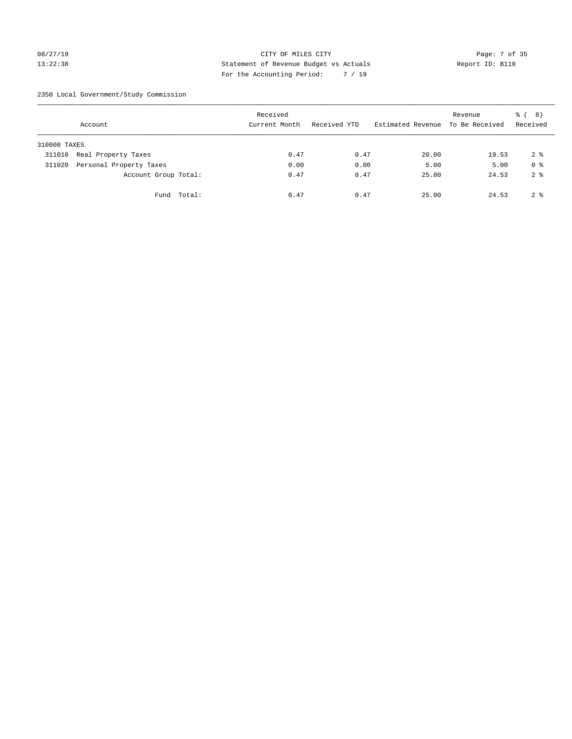### 08/27/19 Page: 7 of 35 13:22:38 Statement of Revenue Budget vs Actuals Report ID: B110 For the Accounting Period: 7 / 19

2350 Local Government/Study Commission

|              | Account                 |             | Received<br>Current Month |      | Received YTD | Estimated Revenue | Revenue<br>To Be Received | <sub>ර</sub> ි ( 8 )<br>Received |
|--------------|-------------------------|-------------|---------------------------|------|--------------|-------------------|---------------------------|----------------------------------|
| 310000 TAXES |                         |             |                           |      |              |                   |                           |                                  |
| 311010       | Real Property Taxes     |             |                           | 0.47 | 0.47         | 20.00             | 19.53                     | 2 <sup>8</sup>                   |
| 311020       | Personal Property Taxes |             |                           | 0.00 | 0.00         | 5.00              | 5.00                      | 0 <sup>8</sup>                   |
|              | Account Group Total:    |             |                           | 0.47 | 0.47         | 25.00             | 24.53                     | 2 <sup>8</sup>                   |
|              |                         | Fund Total: |                           | 0.47 | 0.47         | 25.00             | 24.53                     | 2 <sup>8</sup>                   |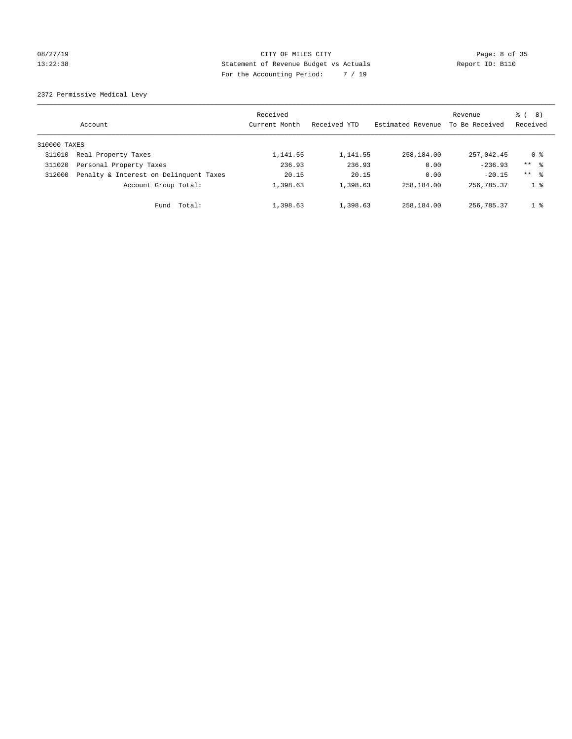### 08/27/19 CITY OF MILES CITY Page: 8 of 35 13:22:38 Statement of Revenue Budget vs Actuals Report ID: B110 For the Accounting Period: 7 / 19

2372 Permissive Medical Levy

|              | Account                                | Received<br>Current Month | Received YTD | Estimated Revenue | Revenue<br>To Be Received | (8)<br>ී (<br>Received |
|--------------|----------------------------------------|---------------------------|--------------|-------------------|---------------------------|------------------------|
| 310000 TAXES |                                        |                           |              |                   |                           |                        |
| 311010       | Real Property Taxes                    | 1,141.55                  | 1,141.55     | 258,184.00        | 257,042.45                | 0 %                    |
| 311020       | Personal Property Taxes                | 236.93                    | 236.93       | 0.00              | $-236.93$                 | $***$ %                |
| 312000       | Penalty & Interest on Delinquent Taxes | 20.15                     | 20.15        | 0.00              | $-20.15$                  | $***$ $\approx$        |
|              | Account Group Total:                   | 1,398.63                  | 1,398.63     | 258,184.00        | 256,785.37                | $1 \circ$              |
|              | Total:<br>Fund                         | 1,398.63                  | 1,398.63     | 258,184.00        | 256,785.37                | 1 <sup>8</sup>         |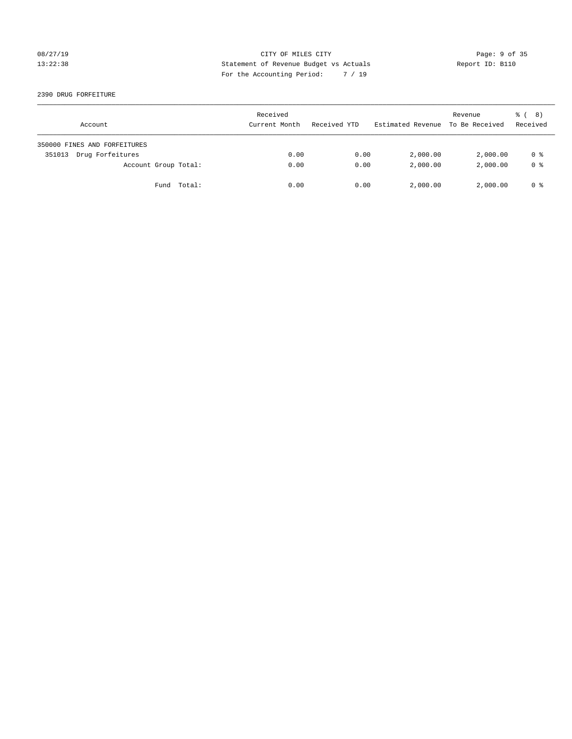### 08/27/19 CITY OF MILES CITY Page: 9 of 35 13:22:38 Statement of Revenue Budget vs Actuals Report ID: B110 For the Accounting Period: 7 / 19

2390 DRUG FORFEITURE

| Account                      | Received<br>Current Month | Received YTD | Estimated Revenue | Revenue<br>To Be Received | <sub>ර</sub> ි ( 8 )<br>Received |
|------------------------------|---------------------------|--------------|-------------------|---------------------------|----------------------------------|
| 350000 FINES AND FORFEITURES |                           |              |                   |                           |                                  |
| Drug Forfeitures<br>351013   | 0.00                      | 0.00         | 2,000.00          | 2,000.00                  | 0 %                              |
| Account Group Total:         | 0.00                      | 0.00         | 2,000.00          | 2,000.00                  | 0 <sup>8</sup>                   |
| Fund Total:                  | 0.00                      | 0.00         | 2,000.00          | 2,000.00                  | 0 %                              |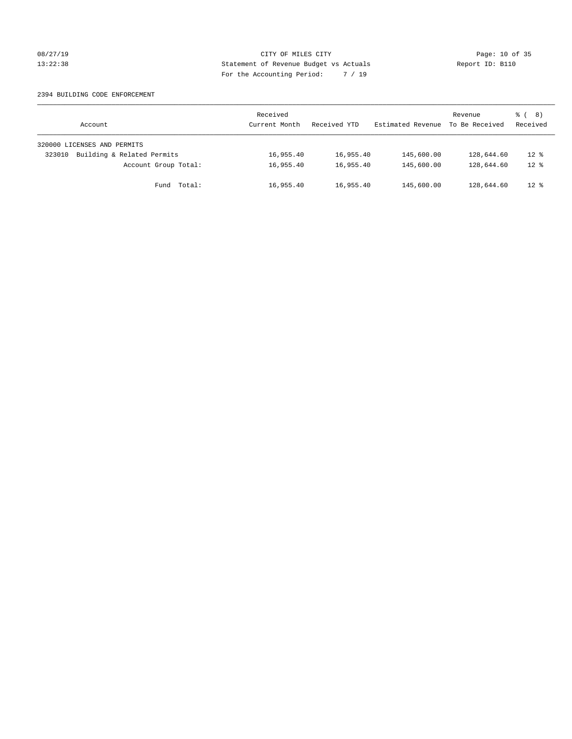### 08/27/19 **Page: 10 of 35** CITY OF MILES CITY **Page: 10 of 35** 13:22:38 Statement of Revenue Budget vs Actuals Report ID: B110 For the Accounting Period: 7 / 19

### 2394 BUILDING CODE ENFORCEMENT

| Account                              | Received<br>Current Month | Received YTD | Estimated Revenue | Revenue<br>To Be Received | $\frac{6}{6}$ ( 8)<br>Received |
|--------------------------------------|---------------------------|--------------|-------------------|---------------------------|--------------------------------|
| 320000 LICENSES AND PERMITS          |                           |              |                   |                           |                                |
| Building & Related Permits<br>323010 | 16,955.40                 | 16,955.40    | 145,600.00        | 128,644.60                | $12$ %                         |
| Account Group Total:                 | 16,955.40                 | 16,955.40    | 145,600.00        | 128,644.60                | $12*$                          |
| Fund Total:                          | 16,955.40                 | 16,955.40    | 145,600.00        | 128,644.60                | $12$ %                         |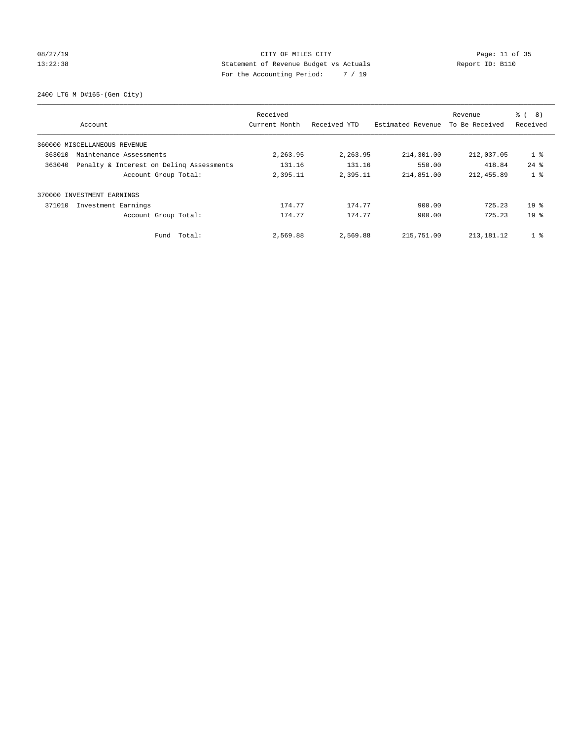### 08/27/19 Page: 11 of 35 13:22:38 Statement of Revenue Budget vs Actuals Report ID: B110 For the Accounting Period: 7 / 19

2400 LTG M D#165-(Gen City)

|        | Account                                  | Received<br>Current Month | Received YTD | Estimated Revenue | Revenue<br>To Be Received | る (<br>8)<br>Received |
|--------|------------------------------------------|---------------------------|--------------|-------------------|---------------------------|-----------------------|
|        | 360000 MISCELLANEOUS REVENUE             |                           |              |                   |                           |                       |
| 363010 | Maintenance Assessments                  | 2,263.95                  | 2,263.95     | 214,301.00        | 212,037.05                | $1$ %                 |
| 363040 | Penalty & Interest on Deling Assessments | 131.16                    | 131.16       | 550.00            | 418.84                    | $24$ $%$              |
|        | Account Group Total:                     | 2,395.11                  | 2,395.11     | 214,851.00        | 212, 455.89               | 1 <sub>8</sub>        |
|        | 370000 INVESTMENT EARNINGS               |                           |              |                   |                           |                       |
| 371010 | Investment Earnings                      | 174.77                    | 174.77       | 900.00            | 725.23                    | $19*$                 |
|        | Account Group Total:                     | 174.77                    | 174.77       | 900.00            | 725.23                    | 19 <sup>8</sup>       |
|        | Fund Total:                              | 2,569.88                  | 2,569.88     | 215,751.00        | 213, 181. 12              | 1 <sup>°</sup>        |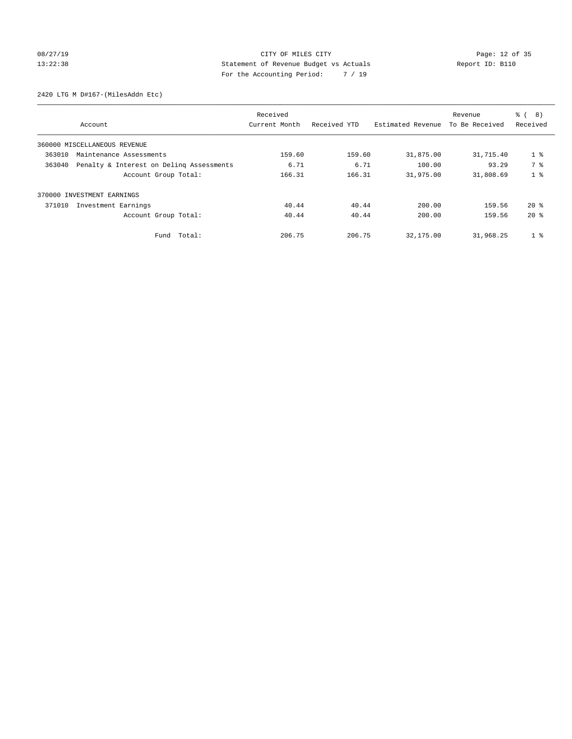# 08/27/19 Page: 12 of 35 13:22:38 Statement of Revenue Budget vs Actuals Report ID: B110 For the Accounting Period: 7 / 19

2420 LTG M D#167-(MilesAddn Etc)

|        |                                          | Received      |              |                   | Revenue        | る (<br>8)      |
|--------|------------------------------------------|---------------|--------------|-------------------|----------------|----------------|
|        | Account                                  | Current Month | Received YTD | Estimated Revenue | To Be Received | Received       |
|        | 360000 MISCELLANEOUS REVENUE             |               |              |                   |                |                |
| 363010 | Maintenance Assessments                  | 159.60        | 159.60       | 31,875.00         | 31,715.40      | 1 <sup>8</sup> |
| 363040 | Penalty & Interest on Deling Assessments | 6.71          | 6.71         | 100.00            | 93.29          | 7 %            |
|        | Account Group Total:                     | 166.31        | 166.31       | 31,975.00         | 31,808.69      | 1 <sub>8</sub> |
|        | 370000 INVESTMENT EARNINGS               |               |              |                   |                |                |
| 371010 | Investment Earnings                      | 40.44         | 40.44        | 200.00            | 159.56         | $20*$          |
|        | Account Group Total:                     | 40.44         | 40.44        | 200.00            | 159.56         | $20*$          |
|        | Fund Total:                              | 206.75        | 206.75       | 32,175.00         | 31,968.25      | 1 <sup>°</sup> |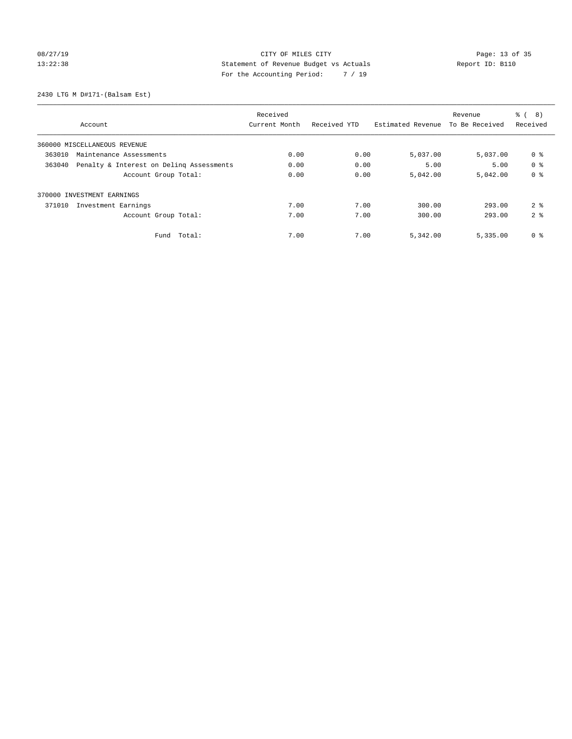# 08/27/19 Page: 13 of 35 13:22:38 Statement of Revenue Budget vs Actuals Report ID: B110 For the Accounting Period: 7 / 19

2430 LTG M D#171-(Balsam Est)

|                                                    | Received      |              |                   | Revenue        | $\frac{6}{6}$<br>8) |
|----------------------------------------------------|---------------|--------------|-------------------|----------------|---------------------|
| Account                                            | Current Month | Received YTD | Estimated Revenue | To Be Received | Received            |
| 360000 MISCELLANEOUS REVENUE                       |               |              |                   |                |                     |
| 363010<br>Maintenance Assessments                  | 0.00          | 0.00         | 5,037.00          | 5,037.00       | 0 %                 |
| 363040<br>Penalty & Interest on Deling Assessments | 0.00          | 0.00         | 5.00              | 5.00           | 0 <sup>8</sup>      |
| Account Group Total:                               | 0.00          | 0.00         | 5,042.00          | 5,042.00       | 0 <sup>8</sup>      |
| 370000 INVESTMENT EARNINGS                         |               |              |                   |                |                     |
| Investment Earnings<br>371010                      | 7.00          | 7.00         | 300.00            | 293.00         | 2 <sup>8</sup>      |
| Account Group Total:                               | 7.00          | 7.00         | 300.00            | 293.00         | 2 <sup>8</sup>      |
| Total:<br>Fund                                     | 7.00          | 7.00         | 5,342.00          | 5,335.00       | 0 <sup>8</sup>      |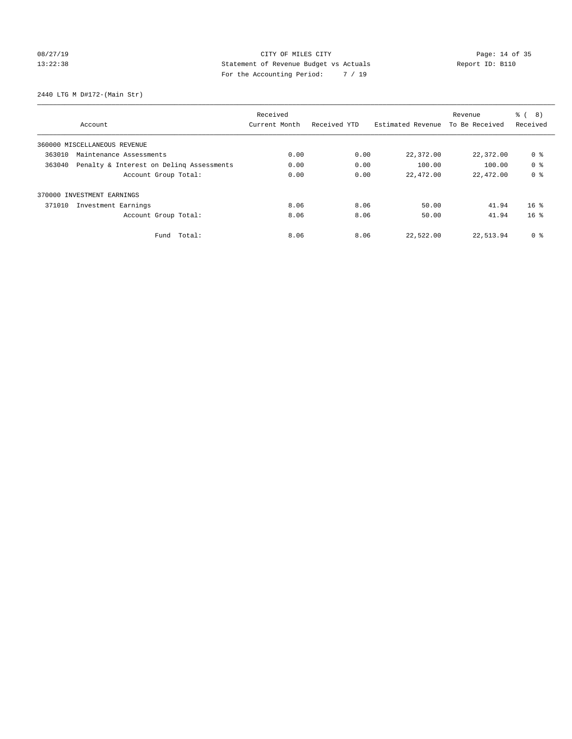# 08/27/19 Page: 14 of 35 13:22:38 Statement of Revenue Budget vs Actuals Report ID: B110 For the Accounting Period: 7 / 19

2440 LTG M D#172-(Main Str)

|                                                    | Received      |              |                   | Revenue        | ී (<br>8)       |
|----------------------------------------------------|---------------|--------------|-------------------|----------------|-----------------|
| Account                                            | Current Month | Received YTD | Estimated Revenue | To Be Received | Received        |
| 360000 MISCELLANEOUS REVENUE                       |               |              |                   |                |                 |
| 363010<br>Maintenance Assessments                  | 0.00          | 0.00         | 22,372.00         | 22,372.00      | 0 <sup>8</sup>  |
| Penalty & Interest on Deling Assessments<br>363040 | 0.00          | 0.00         | 100.00            | 100.00         | 0 <sup>8</sup>  |
| Account Group Total:                               | 0.00          | 0.00         | 22,472.00         | 22,472.00      | 0 <sup>8</sup>  |
| INVESTMENT EARNINGS<br>370000                      |               |              |                   |                |                 |
| 371010<br>Investment Earnings                      | 8.06          | 8.06         | 50.00             | 41.94          | 16 <sup>8</sup> |
| Account Group Total:                               | 8.06          | 8.06         | 50.00             | 41.94          | 16 <sup>8</sup> |
| Fund Total:                                        | 8.06          | 8.06         | 22,522.00         | 22,513.94      | 0 %             |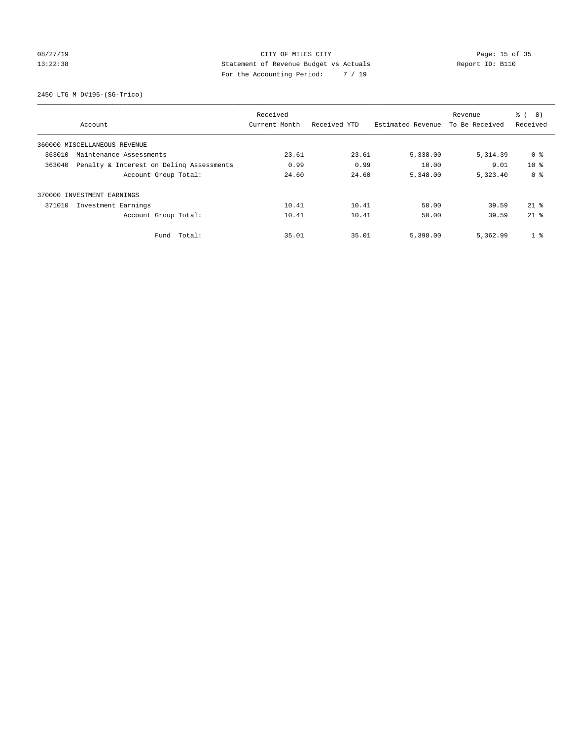### 08/27/19 Page: 15 of 35 13:22:38 Statement of Revenue Budget vs Actuals Report ID: B110 For the Accounting Period: 7 / 19

2450 LTG M D#195-(SG-Trico)

|                                                    | Received      |              |                   | Revenue        | $\frac{6}{6}$<br>8) |
|----------------------------------------------------|---------------|--------------|-------------------|----------------|---------------------|
| Account                                            | Current Month | Received YTD | Estimated Revenue | To Be Received | Received            |
| 360000 MISCELLANEOUS REVENUE                       |               |              |                   |                |                     |
| 363010<br>Maintenance Assessments                  | 23.61         | 23.61        | 5,338.00          | 5, 314.39      | 0 %                 |
| 363040<br>Penalty & Interest on Deling Assessments | 0.99          | 0.99         | 10.00             | 9.01           | $10*$               |
| Account Group Total:                               | 24.60         | 24.60        | 5,348.00          | 5,323.40       | 0 <sup>8</sup>      |
| 370000 INVESTMENT EARNINGS                         |               |              |                   |                |                     |
| Investment Earnings<br>371010                      | 10.41         | 10.41        | 50.00             | 39.59          | $21$ $%$            |
| Account Group Total:                               | 10.41         | 10.41        | 50.00             | 39.59          | $21*$               |
| Total:<br>Fund                                     | 35.01         | 35.01        | 5,398.00          | 5,362.99       | 1 <sup>8</sup>      |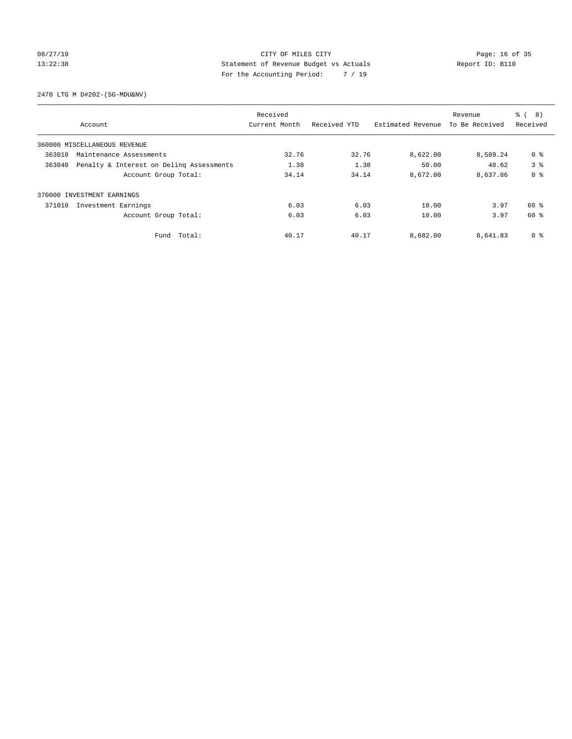### 08/27/19 Page: 16 of 35 13:22:38 Statement of Revenue Budget vs Actuals Report ID: B110 For the Accounting Period: 7 / 19

2470 LTG M D#202-(SG-MDU&NV)

|        |                                          | Received      |              |                   | Revenue        | 8)<br>る (      |
|--------|------------------------------------------|---------------|--------------|-------------------|----------------|----------------|
|        | Account                                  | Current Month | Received YTD | Estimated Revenue | To Be Received | Received       |
|        | 360000 MISCELLANEOUS REVENUE             |               |              |                   |                |                |
| 363010 | Maintenance Assessments                  | 32.76         | 32.76        | 8,622.00          | 8,589.24       | 0 %            |
| 363040 | Penalty & Interest on Deling Assessments | 1.38          | 1.38         | 50.00             | 48.62          | 3 <sup>8</sup> |
|        | Account Group Total:                     | 34.14         | 34.14        | 8,672.00          | 8,637.86       | 0 <sup>8</sup> |
|        | 370000 INVESTMENT EARNINGS               |               |              |                   |                |                |
| 371010 | Investment Earnings                      | 6.03          | 6.03         | 10.00             | 3.97           | 60 %           |
|        | Account Group Total:                     | 6.03          | 6.03         | 10.00             | 3.97           | 60 %           |
|        | Fund Total:                              | 40.17         | 40.17        | 8,682.00          | 8,641.83       | 0 %            |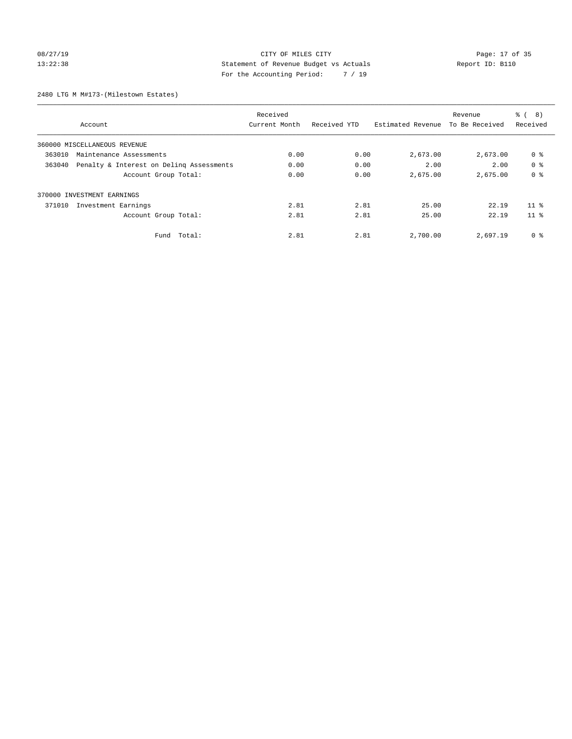### 08/27/19 Page: 17 of 35 13:22:38 Statement of Revenue Budget vs Actuals Report ID: B110 For the Accounting Period: 7 / 19

2480 LTG M M#173-(Milestown Estates)

|        |                                          | Received      |              |                   | Revenue        | 8)<br>る (       |
|--------|------------------------------------------|---------------|--------------|-------------------|----------------|-----------------|
|        | Account                                  | Current Month | Received YTD | Estimated Revenue | To Be Received | Received        |
|        | 360000 MISCELLANEOUS REVENUE             |               |              |                   |                |                 |
| 363010 | Maintenance Assessments                  | 0.00          | 0.00         | 2,673.00          | 2,673.00       | 0 %             |
| 363040 | Penalty & Interest on Deling Assessments | 0.00          | 0.00         | 2.00              | 2.00           | 0 <sup>8</sup>  |
|        | Account Group Total:                     | 0.00          | 0.00         | 2,675.00          | 2,675.00       | 0 <sup>8</sup>  |
|        | 370000 INVESTMENT EARNINGS               |               |              |                   |                |                 |
| 371010 | Investment Earnings                      | 2.81          | 2.81         | 25.00             | 22.19          | 11 <sup>8</sup> |
|        | Account Group Total:                     | 2.81          | 2.81         | 25.00             | 22.19          | 11 <sup>8</sup> |
|        | Fund Total:                              | 2.81          | 2.81         | 2,700.00          | 2,697.19       | 0 %             |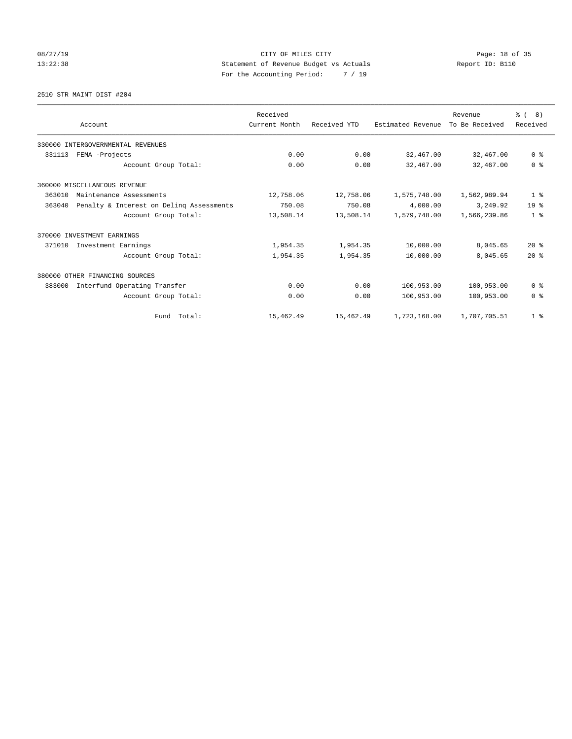# 08/27/19 Page: 18 of 35 13:22:38 Statement of Revenue Budget vs Actuals Report ID: B110 For the Accounting Period: 7 / 19

2510 STR MAINT DIST #204

|                                                    | Received      |              |                   | Revenue        | $\frac{6}{6}$ ( 8) |
|----------------------------------------------------|---------------|--------------|-------------------|----------------|--------------------|
| Account                                            | Current Month | Received YTD | Estimated Revenue | To Be Received | Received           |
| 330000 INTERGOVERNMENTAL REVENUES                  |               |              |                   |                |                    |
| 331113<br>FEMA -Projects                           | 0.00          | 0.00         | 32,467.00         | 32,467.00      | 0 <sup>8</sup>     |
| Account Group Total:                               | 0.00          | 0.00         | 32,467.00         | 32,467.00      | 0 <sup>8</sup>     |
| 360000 MISCELLANEOUS REVENUE                       |               |              |                   |                |                    |
| 363010<br>Maintenance Assessments                  | 12,758.06     | 12,758.06    | 1,575,748.00      | 1,562,989.94   | 1 <sup>8</sup>     |
| 363040<br>Penalty & Interest on Delinq Assessments | 750.08        | 750.08       | 4,000.00          | 3,249.92       | 19 <sup>°</sup>    |
| Account Group Total:                               | 13,508.14     | 13,508.14    | 1,579,748.00      | 1,566,239.86   | 1 <sup>8</sup>     |
| 370000 INVESTMENT EARNINGS                         |               |              |                   |                |                    |
| 371010<br>Investment Earnings                      | 1,954.35      | 1,954.35     | 10,000.00         | 8,045.65       | $20*$              |
| Account Group Total:                               | 1,954.35      | 1,954.35     | 10,000.00         | 8,045.65       | $20*$              |
| 380000 OTHER FINANCING SOURCES                     |               |              |                   |                |                    |
| Interfund Operating Transfer<br>383000             | 0.00          | 0.00         | 100,953.00        | 100,953.00     | 0 <sup>8</sup>     |
| Account Group Total:                               | 0.00          | 0.00         | 100,953.00        | 100,953.00     | 0 <sup>8</sup>     |
| Fund Total:                                        | 15,462.49     | 15,462.49    | 1,723,168.00      | 1,707,705.51   | 1 <sup>8</sup>     |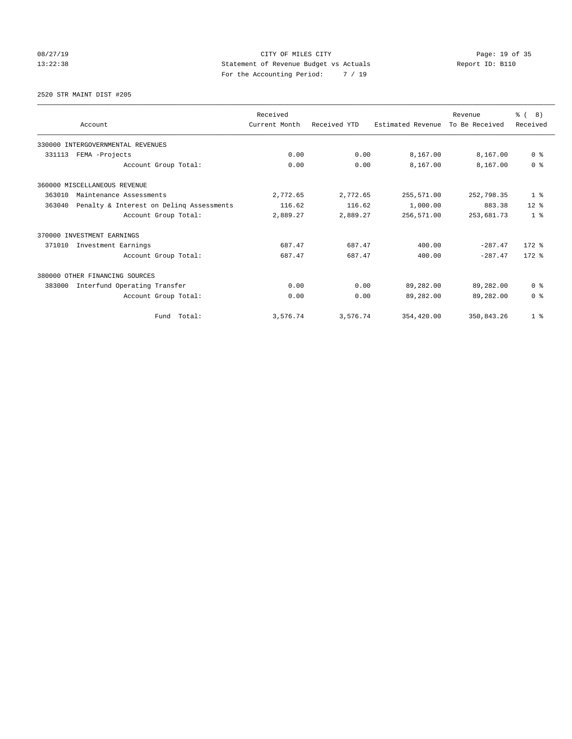# 08/27/19 Page: 19 of 35 13:22:38 Statement of Revenue Budget vs Actuals Report ID: B110 For the Accounting Period: 7 / 19

2520 STR MAINT DIST #205

|                                                    | Received      |              |                   | Revenue        | $\frac{6}{6}$ ( 8) |
|----------------------------------------------------|---------------|--------------|-------------------|----------------|--------------------|
| Account                                            | Current Month | Received YTD | Estimated Revenue | To Be Received | Received           |
| 330000 INTERGOVERNMENTAL REVENUES                  |               |              |                   |                |                    |
| FEMA -Projects<br>331113                           | 0.00          | 0.00         | 8,167.00          | 8,167.00       | 0 <sup>8</sup>     |
| Account Group Total:                               | 0.00          | 0.00         | 8,167.00          | 8,167.00       | 0 <sup>8</sup>     |
| 360000 MISCELLANEOUS REVENUE                       |               |              |                   |                |                    |
| 363010<br>Maintenance Assessments                  | 2,772.65      | 2,772.65     | 255,571.00        | 252,798.35     | 1 <sup>8</sup>     |
| 363040<br>Penalty & Interest on Deling Assessments | 116.62        | 116.62       | 1,000.00          | 883.38         | $12*$              |
| Account Group Total:                               | 2,889.27      | 2,889.27     | 256,571.00        | 253,681.73     | 1 <sup>8</sup>     |
| 370000 INVESTMENT EARNINGS                         |               |              |                   |                |                    |
| Investment Earnings<br>371010                      | 687.47        | 687.47       | 400.00            | $-287.47$      | $172$ $%$          |
| Account Group Total:                               | 687.47        | 687.47       | 400.00            | $-287.47$      | $172$ $%$          |
| 380000 OTHER FINANCING SOURCES                     |               |              |                   |                |                    |
| Interfund Operating Transfer<br>383000             | 0.00          | 0.00         | 89,282.00         | 89,282.00      | 0 <sup>8</sup>     |
| Account Group Total:                               | 0.00          | 0.00         | 89,282.00         | 89,282.00      | 0 <sup>8</sup>     |
| Fund Total:                                        | 3,576.74      | 3,576.74     | 354,420.00        | 350,843.26     | 1 <sup>8</sup>     |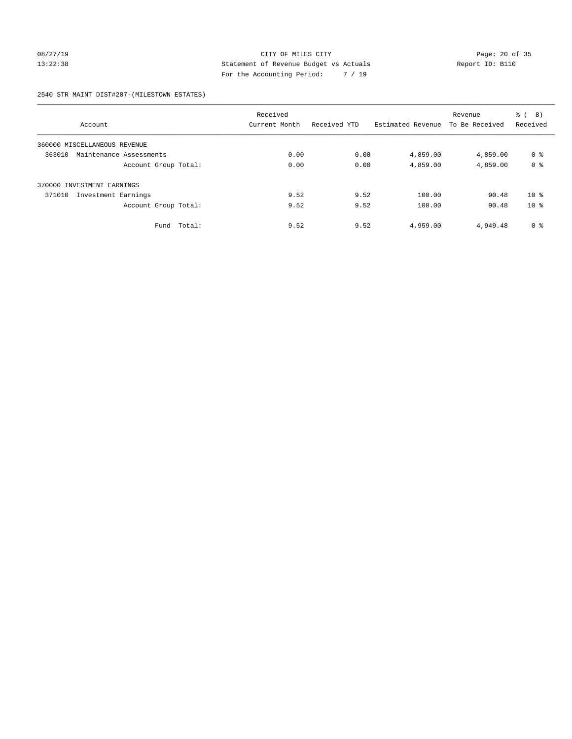### 08/27/19 Page: 20 of 35 13:22:38 Statement of Revenue Budget vs Actuals Report ID: B110 For the Accounting Period: 7 / 19

2540 STR MAINT DIST#207-(MILESTOWN ESTATES)

|                                   | Received      |              |                   | Revenue        | ී (<br>8)      |
|-----------------------------------|---------------|--------------|-------------------|----------------|----------------|
| Account                           | Current Month | Received YTD | Estimated Revenue | To Be Received | Received       |
| 360000 MISCELLANEOUS REVENUE      |               |              |                   |                |                |
| 363010<br>Maintenance Assessments | 0.00          | 0.00         | 4,859.00          | 4,859.00       | 0 <sup>8</sup> |
| Account Group Total:              | 0.00          | 0.00         | 4,859.00          | 4,859.00       | 0 <sup>8</sup> |
| 370000 INVESTMENT EARNINGS        |               |              |                   |                |                |
| 371010<br>Investment Earnings     | 9.52          | 9.52         | 100.00            | 90.48          | $10*$          |
| Account Group Total:              | 9.52          | 9.52         | 100.00            | 90.48          | $10*$          |
| Fund<br>Total:                    | 9.52          | 9.52         | 4,959.00          | 4,949.48       | 0 <sup>8</sup> |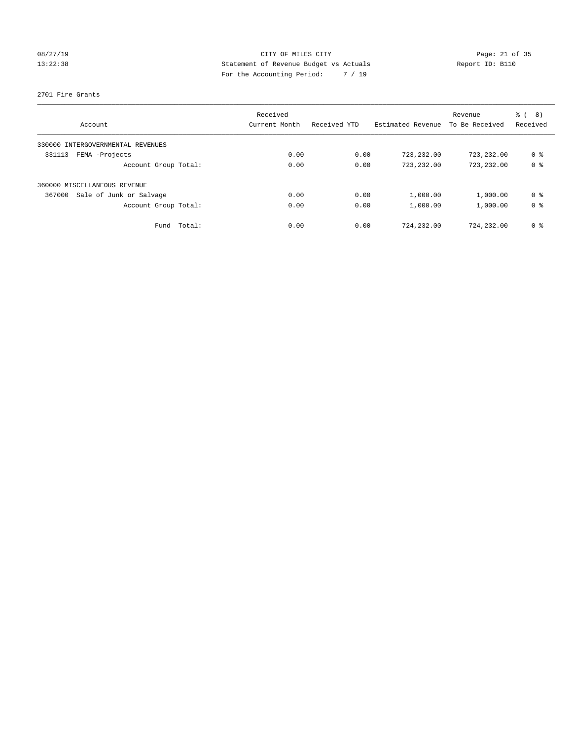# 08/27/19 Page: 21 of 35 13:22:38 Statement of Revenue Budget vs Actuals Report ID: B110 For the Accounting Period: 7 / 19

### 2701 Fire Grants

| Account                              | Received<br>Current Month | Received YTD | Estimated Revenue | Revenue<br>To Be Received | ී (<br>8)<br>Received |
|--------------------------------------|---------------------------|--------------|-------------------|---------------------------|-----------------------|
| INTERGOVERNMENTAL REVENUES<br>330000 |                           |              |                   |                           |                       |
| FEMA -Projects<br>331113             | 0.00                      | 0.00         | 723,232.00        | 723,232.00                | 0 %                   |
| Account Group Total:                 | 0.00                      | 0.00         | 723,232.00        | 723,232.00                | 0 <sup>8</sup>        |
| 360000 MISCELLANEOUS REVENUE         |                           |              |                   |                           |                       |
| Sale of Junk or Salvage<br>367000    | 0.00                      | 0.00         | 1,000.00          | 1,000.00                  | 0 %                   |
| Account Group Total:                 | 0.00                      | 0.00         | 1,000.00          | 1,000.00                  | 0 <sup>8</sup>        |
| Total:<br>Fund                       | 0.00                      | 0.00         | 724,232.00        | 724,232.00                | 0 %                   |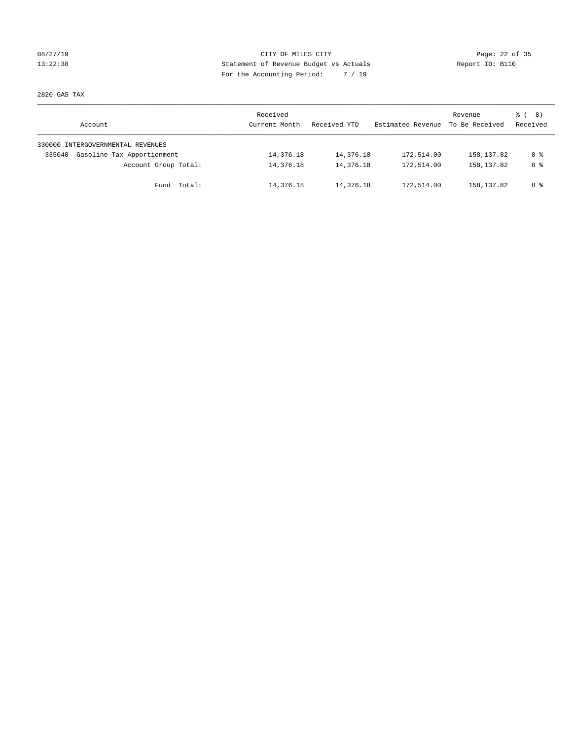### 08/27/19 Page: 22 of 35 13:22:38 Statement of Revenue Budget vs Actuals Report ID: B110 For the Accounting Period: 7 / 19

2820 GAS TAX

| Account                              | Received<br>Current Month | Received YTD | Estimated Revenue | Revenue<br>To Be Received | $\frac{6}{6}$ ( 8)<br>Received |
|--------------------------------------|---------------------------|--------------|-------------------|---------------------------|--------------------------------|
| 330000 INTERGOVERNMENTAL REVENUES    |                           |              |                   |                           |                                |
| Gasoline Tax Apportionment<br>335040 | 14,376.18                 | 14,376.18    | 172,514.00        | 158,137.82                | 8 %                            |
| Account Group Total:                 | 14,376.18                 | 14,376.18    | 172,514.00        | 158,137.82                | 8 %                            |
| Fund Total:                          | 14,376.18                 | 14,376.18    | 172,514.00        | 158,137.82                | 8 %                            |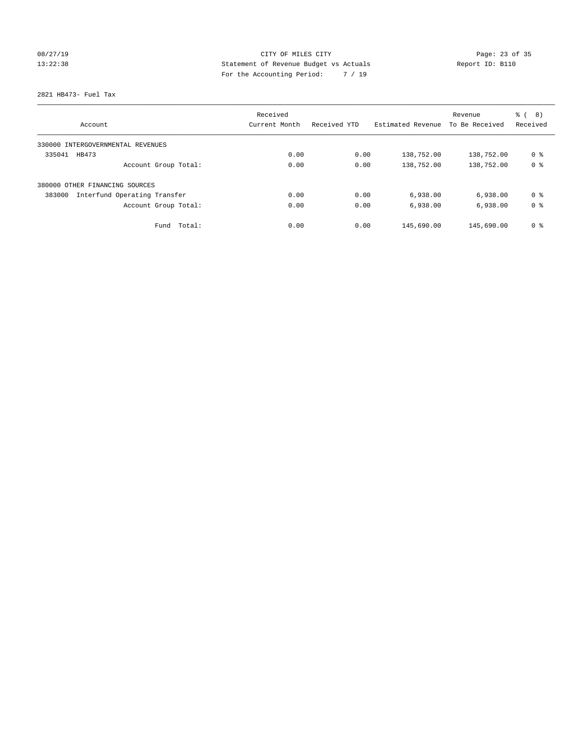# 08/27/19 Page: 23 of 35 13:22:38 Statement of Revenue Budget vs Actuals Report ID: B110 For the Accounting Period: 7 / 19

2821 HB473- Fuel Tax

|                                        | Received      |              |                   | Revenue        | $\frac{6}{6}$<br>8) |
|----------------------------------------|---------------|--------------|-------------------|----------------|---------------------|
| Account                                | Current Month | Received YTD | Estimated Revenue | To Be Received | Received            |
| 330000 INTERGOVERNMENTAL REVENUES      |               |              |                   |                |                     |
| 335041<br>HB473                        | 0.00          | 0.00         | 138,752.00        | 138,752.00     | 0 %                 |
| Account Group Total:                   | 0.00          | 0.00         | 138,752.00        | 138,752.00     | 0 <sup>8</sup>      |
| 380000 OTHER FINANCING SOURCES         |               |              |                   |                |                     |
| 383000<br>Interfund Operating Transfer | 0.00          | 0.00         | 6,938.00          | 6,938.00       | 0 <sup>8</sup>      |
| Account Group Total:                   | 0.00          | 0.00         | 6,938.00          | 6,938.00       | 0 <sup>8</sup>      |
| Total:<br>Fund                         | 0.00          | 0.00         | 145,690.00        | 145,690.00     | 0 <sup>8</sup>      |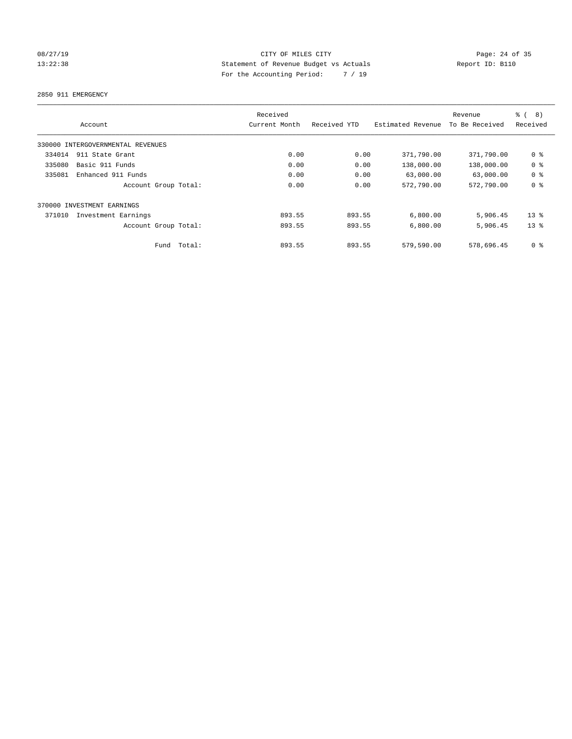# 08/27/19 Page: 24 of 35 13:22:38 Statement of Revenue Budget vs Actuals Report ID: B110 For the Accounting Period: 7 / 19

2850 911 EMERGENCY

|        | Account                           |             | Received<br>Current Month | Received YTD | Estimated Revenue | Revenue<br>To Be Received | $\frac{6}{6}$<br>8)<br>Received |
|--------|-----------------------------------|-------------|---------------------------|--------------|-------------------|---------------------------|---------------------------------|
|        | 330000 INTERGOVERNMENTAL REVENUES |             |                           |              |                   |                           |                                 |
| 334014 | 911 State Grant                   |             | 0.00                      | 0.00         | 371,790.00        | 371,790.00                | 0 <sup>8</sup>                  |
| 335080 | Basic 911 Funds                   |             | 0.00                      | 0.00         | 138,000.00        | 138,000.00                | 0 <sup>8</sup>                  |
| 335081 | Enhanced 911 Funds                |             | 0.00                      | 0.00         | 63,000.00         | 63,000.00                 | 0 <sup>8</sup>                  |
|        | Account Group Total:              |             | 0.00                      | 0.00         | 572,790.00        | 572,790.00                | 0 <sup>8</sup>                  |
|        | 370000 INVESTMENT EARNINGS        |             |                           |              |                   |                           |                                 |
| 371010 | Investment Earnings               |             | 893.55                    | 893.55       | 6,800.00          | 5,906.45                  | $13*$                           |
|        | Account Group Total:              |             | 893.55                    | 893.55       | 6,800.00          | 5,906.45                  | $13*$                           |
|        |                                   | Fund Total: | 893.55                    | 893.55       | 579,590.00        | 578,696.45                | 0 <sup>8</sup>                  |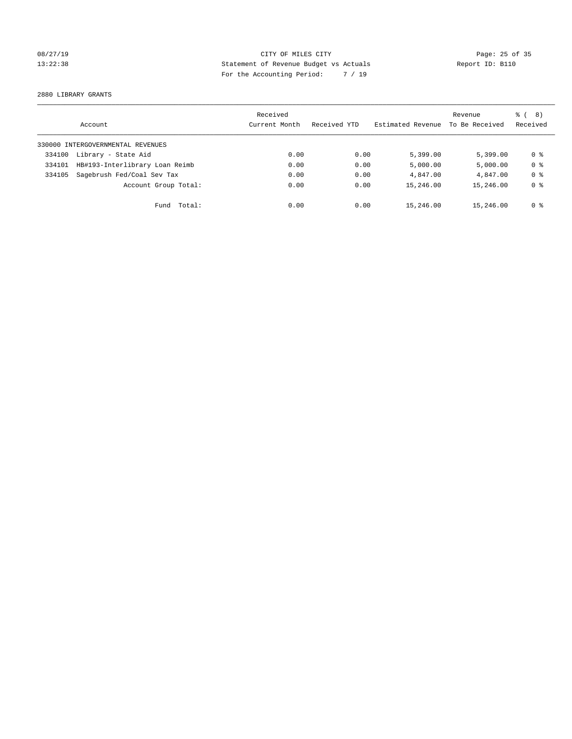# 08/27/19 Page: 25 of 35 13:22:38 Statement of Revenue Budget vs Actuals Report ID: B110 For the Accounting Period: 7 / 19

2880 LIBRARY GRANTS

|        | Account                           | Received<br>Current Month | Received YTD | Estimated Revenue | Revenue<br>To Be Received | $\frac{6}{6}$ ( 8)<br>Received |
|--------|-----------------------------------|---------------------------|--------------|-------------------|---------------------------|--------------------------------|
|        | 330000 INTERGOVERNMENTAL REVENUES |                           |              |                   |                           |                                |
| 334100 | Library - State Aid               | 0.00                      | 0.00         | 5,399.00          | 5.399.00                  | 0 %                            |
| 334101 | HB#193-Interlibrary Loan Reimb    | 0.00                      | 0.00         | 5,000.00          | 5,000.00                  | 0 <sup>8</sup>                 |
| 334105 | Sagebrush Fed/Coal Sev Tax        | 0.00                      | 0.00         | 4,847.00          | 4,847.00                  | 0 <sup>8</sup>                 |
|        | Account Group Total:              | 0.00                      | 0.00         | 15,246.00         | 15,246.00                 | 0 <sup>8</sup>                 |
|        | Fund Total:                       | 0.00                      | 0.00         | 15,246.00         | 15,246.00                 | 0 %                            |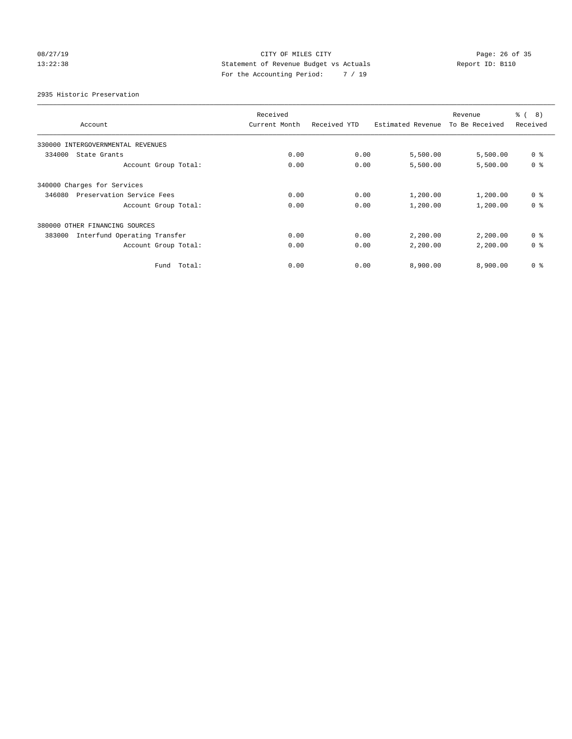# 08/27/19 Page: 26 of 35 13:22:38 Statement of Revenue Budget vs Actuals Report ID: B110 For the Accounting Period: 7 / 19

2935 Historic Preservation

|                                        | Received      |              |                   | Revenue        | ී (<br>$\left(8\right)$ |
|----------------------------------------|---------------|--------------|-------------------|----------------|-------------------------|
| Account                                | Current Month | Received YTD | Estimated Revenue | To Be Received | Received                |
| 330000 INTERGOVERNMENTAL REVENUES      |               |              |                   |                |                         |
| 334000<br>State Grants                 | 0.00          | 0.00         | 5,500.00          | 5,500.00       | 0 <sup>8</sup>          |
| Account Group Total:                   | 0.00          | 0.00         | 5,500.00          | 5,500.00       | 0 <sup>8</sup>          |
| 340000 Charges for Services            |               |              |                   |                |                         |
| Preservation Service Fees<br>346080    | 0.00          | 0.00         | 1,200.00          | 1,200.00       | 0 <sup>8</sup>          |
| Account Group Total:                   | 0.00          | 0.00         | 1,200.00          | 1,200.00       | 0 <sup>8</sup>          |
| 380000 OTHER FINANCING SOURCES         |               |              |                   |                |                         |
| Interfund Operating Transfer<br>383000 | 0.00          | 0.00         | 2,200.00          | 2,200.00       | 0 <sup>8</sup>          |
| Account Group Total:                   | 0.00          | 0.00         | 2,200.00          | 2,200.00       | 0 <sup>8</sup>          |
| Fund Total:                            | 0.00          | 0.00         | 8,900.00          | 8,900.00       | 0 <sup>8</sup>          |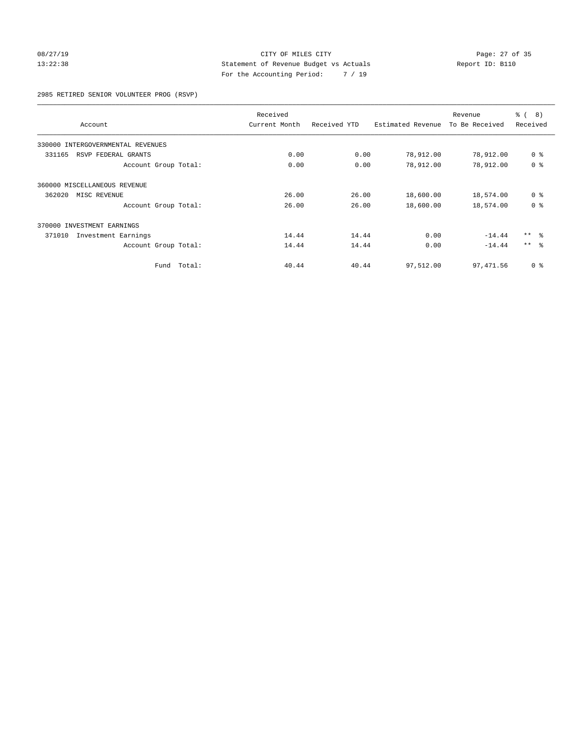### 08/27/19 Page: 27 of 35 13:22:38 Statement of Revenue Budget vs Actuals Report ID: B110 For the Accounting Period: 7 / 19

2985 RETIRED SENIOR VOLUNTEER PROG (RSVP)

|                                      |             | Received      |              |                   | Revenue        | ී (<br>8)       |
|--------------------------------------|-------------|---------------|--------------|-------------------|----------------|-----------------|
| Account                              |             | Current Month | Received YTD | Estimated Revenue | To Be Received | Received        |
| INTERGOVERNMENTAL REVENUES<br>330000 |             |               |              |                   |                |                 |
| 331165<br>RSVP FEDERAL GRANTS        |             | 0.00          | 0.00         | 78,912.00         | 78,912.00      | 0 <sup>8</sup>  |
| Account Group Total:                 |             | 0.00          | 0.00         | 78,912.00         | 78,912.00      | 0 <sup>8</sup>  |
| 360000 MISCELLANEOUS REVENUE         |             |               |              |                   |                |                 |
| 362020<br>MISC REVENUE               |             | 26.00         | 26.00        | 18,600.00         | 18,574.00      | 0 <sup>8</sup>  |
| Account Group Total:                 |             | 26.00         | 26.00        | 18,600.00         | 18,574.00      | 0 <sup>8</sup>  |
| 370000 INVESTMENT EARNINGS           |             |               |              |                   |                |                 |
| 371010<br>Investment Earnings        |             | 14.44         | 14.44        | 0.00              | $-14.44$       | $***$ $\approx$ |
| Account Group Total:                 |             | 14.44         | 14.44        | 0.00              | $-14.44$       | $***$ 8         |
|                                      | Fund Total: | 40.44         | 40.44        | 97,512.00         | 97, 471.56     | 0 <sup>8</sup>  |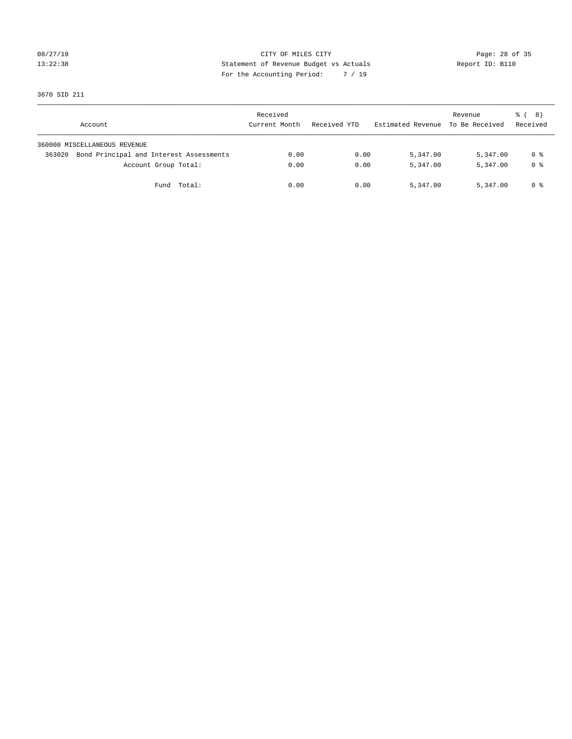# 08/27/19 Page: 28 of 35 13:22:38 Statement of Revenue Budget vs Actuals Report ID: B110 For the Accounting Period: 7 / 19

3670 SID 211

| Account                                           | Received<br>Current Month | Received YTD | Estimated Revenue To Be Received | Revenue  | <sub>ර</sub> ි ( 8 )<br>Received |
|---------------------------------------------------|---------------------------|--------------|----------------------------------|----------|----------------------------------|
| 360000 MISCELLANEOUS REVENUE                      |                           |              |                                  |          |                                  |
| Bond Principal and Interest Assessments<br>363020 | 0.00                      | 0.00         | 5,347.00                         | 5,347.00 | 0 %                              |
| Account Group Total:                              | 0.00                      | 0.00         | 5,347.00                         | 5,347.00 | 0 %                              |
| Fund Total:                                       | 0.00                      | 0.00         | 5,347.00                         | 5,347.00 | 0 %                              |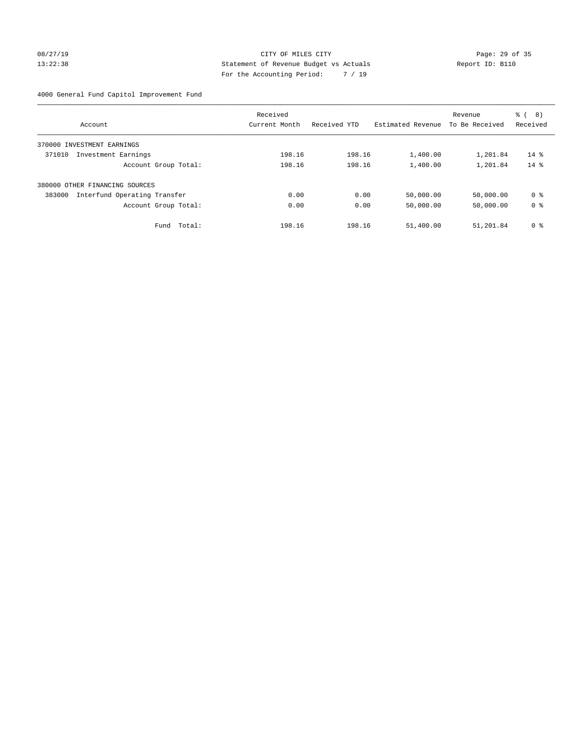### 08/27/19 Page: 29 of 35 13:22:38 Statement of Revenue Budget vs Actuals Report ID: B110 For the Accounting Period: 7 / 19

4000 General Fund Capitol Improvement Fund

| Account                                | Received<br>Current Month | Received YTD | Estimated Revenue | Revenue<br>To Be Received | る (<br>8)<br>Received |
|----------------------------------------|---------------------------|--------------|-------------------|---------------------------|-----------------------|
|                                        |                           |              |                   |                           |                       |
| INVESTMENT EARNINGS<br>370000          |                           |              |                   |                           |                       |
| 371010<br>Investment Earnings          | 198.16                    | 198.16       | 1,400.00          | 1,201.84                  | $14$ %                |
| Account Group Total:                   | 198.16                    | 198.16       | 1,400.00          | 1,201.84                  | $14*$                 |
| 380000 OTHER FINANCING SOURCES         |                           |              |                   |                           |                       |
| Interfund Operating Transfer<br>383000 | 0.00                      | 0.00         | 50,000.00         | 50,000.00                 | 0 %                   |
| Account Group Total:                   | 0.00                      | 0.00         | 50,000.00         | 50,000.00                 | 0 <sup>8</sup>        |
| Total:<br>Fund                         | 198.16                    | 198.16       | 51,400.00         | 51,201.84                 | 0 %                   |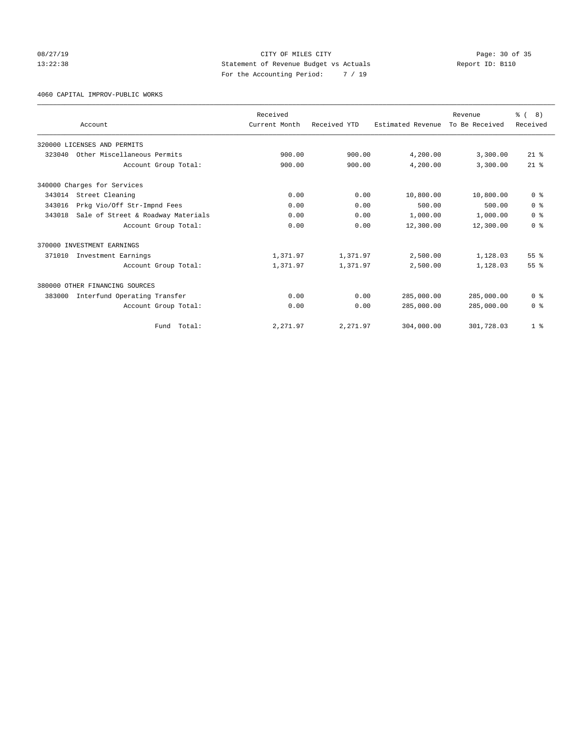### 08/27/19 Page: 30 of 35 13:22:38 Statement of Revenue Budget vs Actuals Report ID: B110 For the Accounting Period: 7 / 19

4060 CAPITAL IMPROV-PUBLIC WORKS

|        |                                    | Received      |              |                   | Revenue        | $\frac{6}{6}$ ( 8) |
|--------|------------------------------------|---------------|--------------|-------------------|----------------|--------------------|
|        | Account                            | Current Month | Received YTD | Estimated Revenue | To Be Received | Received           |
|        | 320000 LICENSES AND PERMITS        |               |              |                   |                |                    |
| 323040 | Other Miscellaneous Permits        | 900.00        | 900.00       | 4,200.00          | 3,300.00       | $21*$              |
|        | Account Group Total:               | 900.00        | 900.00       | 4,200.00          | 3,300.00       | $21*$              |
|        | 340000 Charges for Services        |               |              |                   |                |                    |
| 343014 | Street Cleaning                    | 0.00          | 0.00         | 10,800.00         | 10,800.00      | 0 <sup>8</sup>     |
| 343016 | Prkg Vio/Off Str-Impnd Fees        | 0.00          | 0.00         | 500.00            | 500.00         | 0 <sup>8</sup>     |
| 343018 | Sale of Street & Roadway Materials | 0.00          | 0.00         | 1,000.00          | 1,000.00       | 0 <sup>8</sup>     |
|        | Account Group Total:               | 0.00          | 0.00         | 12,300.00         | 12,300.00      | 0 <sup>8</sup>     |
|        | 370000 INVESTMENT EARNINGS         |               |              |                   |                |                    |
| 371010 | Investment Earnings                | 1,371.97      | 1,371.97     | 2,500.00          | 1,128.03       | 55%                |
|        | Account Group Total:               | 1,371.97      | 1,371.97     | 2,500.00          | 1,128.03       | 55 <sup>8</sup>    |
|        | 380000 OTHER FINANCING SOURCES     |               |              |                   |                |                    |
| 383000 | Interfund Operating Transfer       | 0.00          | 0.00         | 285,000.00        | 285,000.00     | 0 <sup>8</sup>     |
|        | Account Group Total:               | 0.00          | 0.00         | 285,000.00        | 285,000.00     | 0 <sup>8</sup>     |
|        | Fund Total:                        | 2,271.97      | 2,271.97     | 304,000.00        | 301,728.03     | 1 <sup>8</sup>     |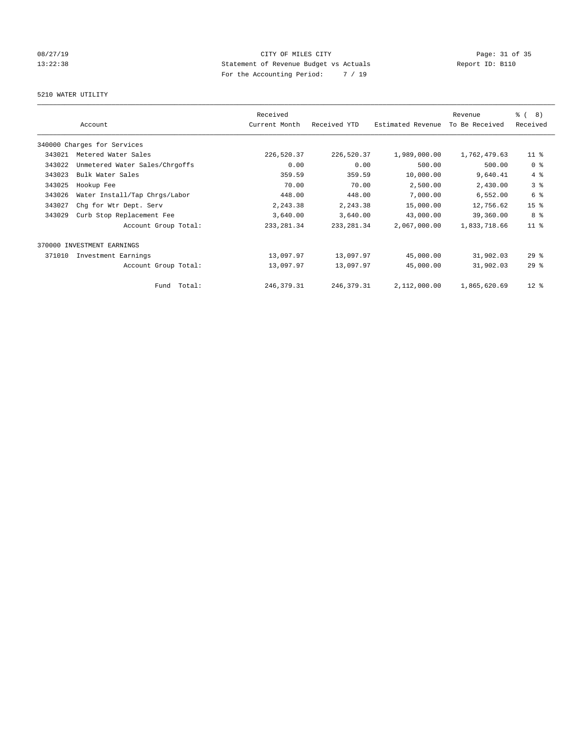# 08/27/19 Page: 31 of 35 13:22:38 Statement of Revenue Budget vs Actuals Report ID: B110 For the Accounting Period: 7 / 19

# 5210 WATER UTILITY

|        |                                | Received      |              |                   | Revenue        | $\frac{6}{6}$ ( 8) |
|--------|--------------------------------|---------------|--------------|-------------------|----------------|--------------------|
|        | Account                        | Current Month | Received YTD | Estimated Revenue | To Be Received | Received           |
|        | 340000 Charges for Services    |               |              |                   |                |                    |
| 343021 | Metered Water Sales            | 226,520.37    | 226,520.37   | 1,989,000.00      | 1,762,479.63   | $11$ %             |
| 343022 | Unmetered Water Sales/Chrgoffs | 0.00          | 0.00         | 500.00            | 500.00         | 0 <sup>8</sup>     |
| 343023 | Bulk Water Sales               | 359.59        | 359.59       | 10,000.00         | 9,640.41       | 4%                 |
| 343025 | Hookup Fee                     | 70.00         | 70.00        | 2,500.00          | 2,430.00       | 3%                 |
| 343026 | Water Install/Tap Chrgs/Labor  | 448.00        | 448.00       | 7,000.00          | 6,552.00       | 6 %                |
| 343027 | Chg for Wtr Dept. Serv         | 2,243.38      | 2,243.38     | 15,000.00         | 12,756.62      | 15 <sup>°</sup>    |
| 343029 | Curb Stop Replacement Fee      | 3,640.00      | 3,640.00     | 43,000.00         | 39,360.00      | 8 %                |
|        | Account Group Total:           | 233, 281.34   | 233, 281.34  | 2,067,000.00      | 1,833,718.66   | $11$ %             |
| 370000 | INVESTMENT EARNINGS            |               |              |                   |                |                    |
| 371010 | Investment Earnings            | 13,097.97     | 13,097.97    | 45,000.00         | 31,902.03      | $29$ $%$           |
|        | Account Group Total:           | 13,097.97     | 13,097.97    | 45,000.00         | 31,902.03      | 29%                |
|        | Total:<br>Fund                 | 246, 379. 31  | 246, 379. 31 | 2,112,000.00      | 1,865,620.69   | $12$ %             |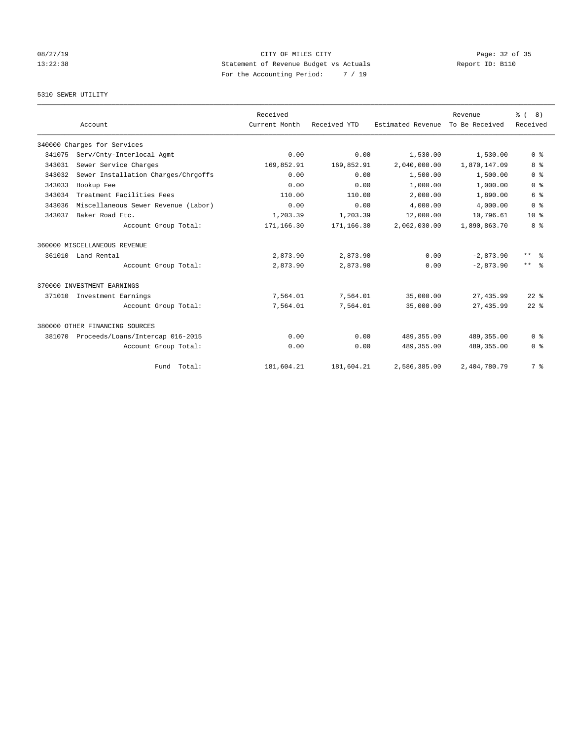# 08/27/19 Page: 32 of 35 13:22:38 Statement of Revenue Budget vs Actuals Report ID: B110 For the Accounting Period: 7 / 19

### 5310 SEWER UTILITY

|        |                                     | Received      |              |                   | Revenue        | $\frac{6}{6}$ ( 8) |
|--------|-------------------------------------|---------------|--------------|-------------------|----------------|--------------------|
|        | Account                             | Current Month | Received YTD | Estimated Revenue | To Be Received | Received           |
|        | 340000 Charges for Services         |               |              |                   |                |                    |
| 341075 | Serv/Cnty-Interlocal Agmt           | 0.00          | 0.00         | 1,530.00          | 1,530.00       | 0 <sup>8</sup>     |
| 343031 | Sewer Service Charges               | 169,852.91    | 169,852.91   | 2,040,000.00      | 1,870,147.09   | 8 %                |
| 343032 | Sewer Installation Charges/Chrgoffs | 0.00          | 0.00         | 1,500.00          | 1,500.00       | 0 <sup>8</sup>     |
| 343033 | Hookup Fee                          | 0.00          | 0.00         | 1,000.00          | 1,000.00       | 0 <sup>8</sup>     |
| 343034 | Treatment Facilities Fees           | 110.00        | 110.00       | 2,000.00          | 1,890.00       | 6 %                |
| 343036 | Miscellaneous Sewer Revenue (Labor) | 0.00          | 0.00         | 4,000.00          | 4,000.00       | 0 <sup>8</sup>     |
| 343037 | Baker Road Etc.                     | 1,203.39      | 1,203.39     | 12,000.00         | 10,796.61      | $10*$              |
|        | Account Group Total:                | 171,166.30    | 171,166.30   | 2,062,030.00      | 1,890,863.70   | 8 %                |
|        | 360000 MISCELLANEOUS REVENUE        |               |              |                   |                |                    |
|        | 361010 Land Rental                  | 2,873.90      | 2,873.90     | 0.00              | $-2,873.90$    | $***$ $=$          |
|        | Account Group Total:                | 2,873.90      | 2,873.90     | 0.00              | $-2,873.90$    | $***$ $ -$         |
|        | 370000 INVESTMENT EARNINGS          |               |              |                   |                |                    |
| 371010 | Investment Earnings                 | 7,564.01      | 7,564.01     | 35,000.00         | 27, 435.99     | $22$ $%$           |
|        | Account Group Total:                | 7,564.01      | 7.564.01     | 35,000.00         | 27, 435.99     | $22$ $%$           |
|        | 380000 OTHER FINANCING SOURCES      |               |              |                   |                |                    |
| 381070 | Proceeds/Loans/Intercap 016-2015    | 0.00          | 0.00         | 489, 355.00       | 489, 355.00    | 0 <sup>8</sup>     |
|        | Account Group Total:                | 0.00          | 0.00         | 489, 355.00       | 489,355.00     | 0 <sup>8</sup>     |
|        | Fund Total:                         | 181,604.21    | 181,604.21   | 2,586,385.00      | 2,404,780.79   | 7 %                |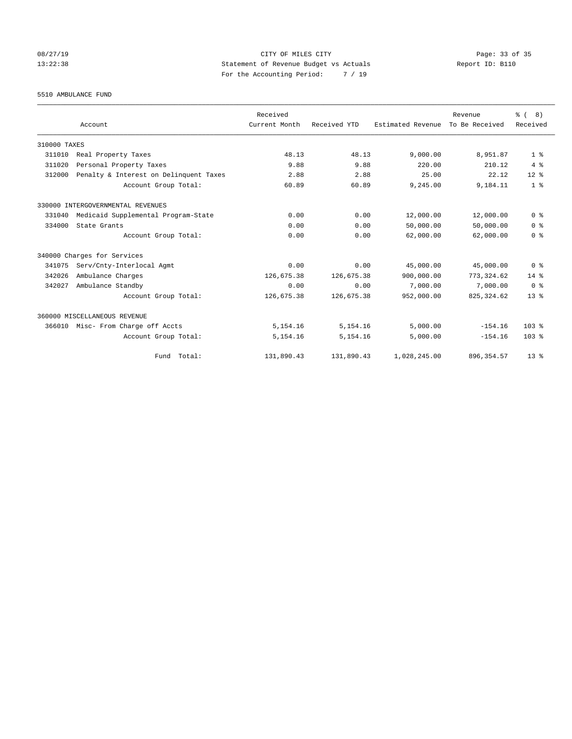### 08/27/19 Page: 33 of 35 13:22:38 Statement of Revenue Budget vs Actuals Report ID: B110 For the Accounting Period: 7 / 19

5510 AMBULANCE FUND

|              |                                        | Received      |              |                   | Revenue        | $\frac{6}{6}$ ( 8) |
|--------------|----------------------------------------|---------------|--------------|-------------------|----------------|--------------------|
|              | Account                                | Current Month | Received YTD | Estimated Revenue | To Be Received | Received           |
| 310000 TAXES |                                        |               |              |                   |                |                    |
| 311010       | Real Property Taxes                    | 48.13         | 48.13        | 9,000.00          | 8,951.87       | 1 <sup>8</sup>     |
| 311020       | Personal Property Taxes                | 9.88          | 9.88         | 220.00            | 210.12         | 4%                 |
| 312000       | Penalty & Interest on Delinquent Taxes | 2.88          | 2.88         | 25.00             | 22.12          | $12*$              |
|              | Account Group Total:                   | 60.89         | 60.89        | 9,245.00          | 9,184.11       | 1 <sup>8</sup>     |
|              | 330000 INTERGOVERNMENTAL REVENUES      |               |              |                   |                |                    |
| 331040       | Medicaid Supplemental Program-State    | 0.00          | 0.00         | 12,000.00         | 12,000.00      | 0 <sup>8</sup>     |
| 334000       | State Grants                           | 0.00          | 0.00         | 50,000.00         | 50,000.00      | 0 <sup>8</sup>     |
|              | Account Group Total:                   | 0.00          | 0.00         | 62,000.00         | 62,000.00      | 0 <sup>8</sup>     |
|              | 340000 Charges for Services            |               |              |                   |                |                    |
| 341075       | Serv/Cnty-Interlocal Agmt              | 0.00          | 0.00         | 45,000.00         | 45,000.00      | 0 <sup>8</sup>     |
| 342026       | Ambulance Charges                      | 126,675.38    | 126,675.38   | 900,000.00        | 773, 324.62    | $14*$              |
| 342027       | Ambulance Standby                      | 0.00          | 0.00         | 7,000.00          | 7,000.00       | 0 <sup>8</sup>     |
|              | Account Group Total:                   | 126,675.38    | 126,675.38   | 952,000.00        | 825, 324.62    | 13 <sup>8</sup>    |
|              | 360000 MISCELLANEOUS REVENUE           |               |              |                   |                |                    |
|              | 366010 Misc- From Charge off Accts     | 5, 154. 16    | 5,154.16     | 5,000.00          | $-154.16$      | 103 <sub>8</sub>   |
|              | Account Group Total:                   | 5, 154. 16    | 5,154.16     | 5,000.00          | $-154.16$      | 103 <sub>8</sub>   |
|              | Fund Total:                            | 131,890.43    | 131,890.43   | 1,028,245.00      | 896, 354.57    | $13*$              |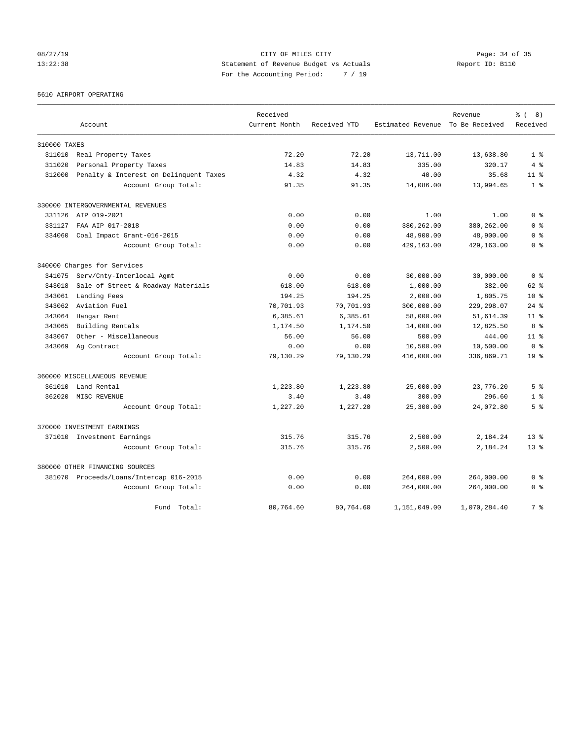08/27/19 Page: 34 of 35 13:22:38 Statement of Revenue Budget vs Actuals Report ID: B110 For the Accounting Period: 7 / 19

# 5610 AIRPORT OPERATING

|              |                                         | Received      |              |                                  | Revenue      | ී (<br>8)       |
|--------------|-----------------------------------------|---------------|--------------|----------------------------------|--------------|-----------------|
|              | Account                                 | Current Month | Received YTD | Estimated Revenue To Be Received |              | Received        |
| 310000 TAXES |                                         |               |              |                                  |              |                 |
| 311010       | Real Property Taxes                     | 72.20         | 72.20        | 13,711.00                        | 13,638.80    | 1 <sup>8</sup>  |
| 311020       | Personal Property Taxes                 | 14.83         | 14.83        | 335.00                           | 320.17       | 4%              |
| 312000       | Penalty & Interest on Delinquent Taxes  | 4.32          | 4.32         | 40.00                            | 35.68        | $11$ %          |
|              | Account Group Total:                    | 91.35         | 91.35        | 14,086.00                        | 13,994.65    | 1 <sup>8</sup>  |
|              | 330000 INTERGOVERNMENTAL REVENUES       |               |              |                                  |              |                 |
| 331126       | AIP 019-2021                            | 0.00          | 0.00         | 1.00                             | 1.00         | 0 <sup>8</sup>  |
| 331127       | FAA AIP 017-2018                        | 0.00          | 0.00         | 380,262.00                       | 380,262.00   | 0 <sup>8</sup>  |
| 334060       | Coal Impact Grant-016-2015              | 0.00          | 0.00         | 48,900.00                        | 48,900.00    | 0 <sup>8</sup>  |
|              | Account Group Total:                    | 0.00          | 0.00         | 429,163.00                       | 429,163.00   | 0 <sup>8</sup>  |
|              | 340000 Charges for Services             |               |              |                                  |              |                 |
| 341075       | Serv/Cnty-Interlocal Agmt               | 0.00          | 0.00         | 30,000.00                        | 30,000.00    | 0 <sup>8</sup>  |
| 343018       | Sale of Street & Roadway Materials      | 618.00        | 618.00       | 1,000.00                         | 382.00       | 62 %            |
| 343061       | Landing Fees                            | 194.25        | 194.25       | 2,000.00                         | 1,805.75     | $10*$           |
| 343062       | Aviation Fuel                           | 70,701.93     | 70,701.93    | 300,000.00                       | 229,298.07   | $24$ %          |
| 343064       | Hangar Rent                             | 6,385.61      | 6,385.61     | 58,000.00                        | 51,614.39    | 11 <sup>8</sup> |
| 343065       | Building Rentals                        | 1,174.50      | 1,174.50     | 14,000.00                        | 12,825.50    | 8 %             |
| 343067       | Other - Miscellaneous                   | 56.00         | 56.00        | 500.00                           | 444.00       | $11$ %          |
| 343069       | Aq Contract                             | 0.00          | 0.00         | 10,500.00                        | 10,500.00    | 0 %             |
|              | Account Group Total:                    | 79,130.29     | 79,130.29    | 416,000.00                       | 336,869.71   | $19*$           |
|              | 360000 MISCELLANEOUS REVENUE            |               |              |                                  |              |                 |
| 361010       | Land Rental                             | 1,223.80      | 1,223.80     | 25,000.00                        | 23,776.20    | 5 <sup>°</sup>  |
| 362020       | MISC REVENUE                            | 3.40          | 3.40         | 300.00                           | 296.60       | 1 <sup>8</sup>  |
|              | Account Group Total:                    | 1,227.20      | 1,227.20     | 25,300.00                        | 24,072.80    | 5 %             |
|              | 370000 INVESTMENT EARNINGS              |               |              |                                  |              |                 |
|              | 371010 Investment Earnings              | 315.76        | 315.76       | 2,500.00                         | 2,184.24     | $13*$           |
|              | Account Group Total:                    | 315.76        | 315.76       | 2,500.00                         | 2,184.24     | $13*$           |
|              | 380000 OTHER FINANCING SOURCES          |               |              |                                  |              |                 |
|              | 381070 Proceeds/Loans/Intercap 016-2015 | 0.00          | 0.00         | 264,000.00                       | 264,000.00   | 0 <sup>8</sup>  |
|              | Account Group Total:                    | 0.00          | 0.00         | 264,000.00                       | 264,000.00   | 0 <sup>8</sup>  |
|              | Total:<br>Fund                          | 80,764.60     | 80,764.60    | 1,151,049.00                     | 1,070,284.40 | 7 %             |